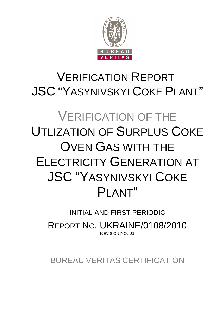

## VERIFICATION REPORT JSC "YASYNIVSKYI COKE PLANT"

# VERIFICATION OF THE UTLIZATION OF SURPLUS COKE OVEN GAS WITH THE ELECTRICITY GENERATION AT JSC "YASYNIVSKYI COKE PI ANT"

## INITIAL AND FIRST PERIODIC

REPORT NO. UKRAINE/0108/2010 REVISION NO. 01

BUREAU VERITAS CERTIFICATION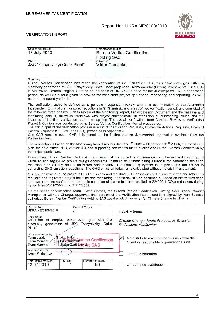

#### VERIFICATION REPORT

| Date of first issue:<br>13 July 2010                                                                                                                                                                                                                                                                                                                                                                                                                                                                                                                                                                                                                                                                                                                                                                                                                                                                                                                                                                                       | Organizational unit:<br><b>Holding SAS</b> | <b>Bureau Veritas Certification</b>                                                                     |  |
|----------------------------------------------------------------------------------------------------------------------------------------------------------------------------------------------------------------------------------------------------------------------------------------------------------------------------------------------------------------------------------------------------------------------------------------------------------------------------------------------------------------------------------------------------------------------------------------------------------------------------------------------------------------------------------------------------------------------------------------------------------------------------------------------------------------------------------------------------------------------------------------------------------------------------------------------------------------------------------------------------------------------------|--------------------------------------------|---------------------------------------------------------------------------------------------------------|--|
| Client:<br>JSC "Yasynivskyi Coke Plant"                                                                                                                                                                                                                                                                                                                                                                                                                                                                                                                                                                                                                                                                                                                                                                                                                                                                                                                                                                                    | Client ref.:<br><b>Viktor Chalenko</b>     |                                                                                                         |  |
|                                                                                                                                                                                                                                                                                                                                                                                                                                                                                                                                                                                                                                                                                                                                                                                                                                                                                                                                                                                                                            |                                            |                                                                                                         |  |
| Summary:<br>Bureau Veritas Certification has made the verification of the "Utilization of surplus coke oven gas with the<br>electricity generation at JSC "Yasynivskyi Coke Plant" project of Environmental (Green) Investments Fund LTD<br>in Makiyivka, Donetsk region, Ukraine on the basis of UNFCCC criteria for the JI except for ERU's generating<br>period, as well as criteria given to provide for consistent project operations, monitoring and reporting, as well<br>as the host country criteria.                                                                                                                                                                                                                                                                                                                                                                                                                                                                                                             |                                            |                                                                                                         |  |
| The verification scope is defined as a periodic independent review and post determination by the Accredited<br>Independent Entity of the monitored reductions in GHG emissions during defined verification period, and consisted of<br>the following three phases: i) desk review of the Monitoring Report, Project Design Document and the baseline and<br>monitoring plan; ii) follow-up interviews with project stakeholders; iii) resolution of outstanding issues and the<br>issuance of the final verification report and opinion. The overall verification, from Contract Review to Verification<br>Report & Opinion, was conducted using Bureau Veritas Certification internal procedures.<br>The first output of the verification process is a list of Clarification Requests, Corrective Actions Requests, Forward<br>Actions Requests (CL, CAR and FAR), presented in Appendix A.<br>One CAR remains open. CAR 1 is based on the finding that no documented approval is available from the<br>Parties involved. |                                            |                                                                                                         |  |
| The verification is based on the Monitoring Report (covers January 1 <sup>st</sup> 2006 – December 31 <sup>st</sup> 2009), the monitoring<br>plan, the determined PDD, version 4.0, and supporting documents made available to Bureau Veritas Certification by<br>the project participant.                                                                                                                                                                                                                                                                                                                                                                                                                                                                                                                                                                                                                                                                                                                                 |                                            |                                                                                                         |  |
| In summary, Bureau Veritas Certification confirms that the project is implemented as planned and described in<br>validated and registered project design documents. Installed equipment being essential for generating emission<br>reduction runs reliably and is calibrated appropriately. The monitoring system is in place and the project is<br>generating GHG emission reductions. The GHG emission reduction is calculated without material misstatements.                                                                                                                                                                                                                                                                                                                                                                                                                                                                                                                                                           |                                            |                                                                                                         |  |
| Our opinion relates to the project's GHG emissions and resulting GHG emissions reductions reported and related to<br>the valid and registered project baseline and monitoring, and its associated documents. Based on information seen<br>and evaluated we confirm that the implementation of the project has resulted in 224000 t CO <sub>2</sub> e reductions during<br>period from 01/01/2006 up to 31/12/2009.                                                                                                                                                                                                                                                                                                                                                                                                                                                                                                                                                                                                         |                                            |                                                                                                         |  |
| On the behalf of verification team, Flavio Gomes, the Bureau Veritas Certification Holding SAS Global Product<br>Manager for Climate Change, approved final version of the Verification Report and it is signed by Ivan Sokolov<br>authorized Bureau Veritas Certification Holding SAS Local product manager for Climate Change in Ukraine.                                                                                                                                                                                                                                                                                                                                                                                                                                                                                                                                                                                                                                                                                |                                            |                                                                                                         |  |
| Report No.:<br>Subject Group:<br>UKRAINE/0108/2010<br>JI                                                                                                                                                                                                                                                                                                                                                                                                                                                                                                                                                                                                                                                                                                                                                                                                                                                                                                                                                                   |                                            | Indexing terms                                                                                          |  |
| Project title:<br>Utilization of surplus coke oven gas with the<br>Climate Change, Kyoto Protocol, JI, Emission<br>generation at JSC "Yasynivskyi Coke<br>electricity<br>Reductions, Verification<br>Plant"                                                                                                                                                                                                                                                                                                                                                                                                                                                                                                                                                                                                                                                                                                                                                                                                                |                                            |                                                                                                         |  |
| Work carried out by:<br>Nadiia Kaiun<br><b>Team Leader</b><br>Julia Cumeniu Veritas Certification<br>Team Member:<br><b>Team Member</b><br>Svitlana Gariyen birkin SAS                                                                                                                                                                                                                                                                                                                                                                                                                                                                                                                                                                                                                                                                                                                                                                                                                                                     |                                            | $\boxtimes$<br>No distribution without permission from the<br>Client or responsible organizational unit |  |
| Work verified by:<br>Ivan Sokolov                                                                                                                                                                                                                                                                                                                                                                                                                                                                                                                                                                                                                                                                                                                                                                                                                                                                                                                                                                                          |                                            | Limited distribution                                                                                    |  |
| Date of this revision:<br>Rev. No.:<br>13.07.2010<br>1                                                                                                                                                                                                                                                                                                                                                                                                                                                                                                                                                                                                                                                                                                                                                                                                                                                                                                                                                                     | Number of pages:<br>66                     | Unrestricted distribution                                                                               |  |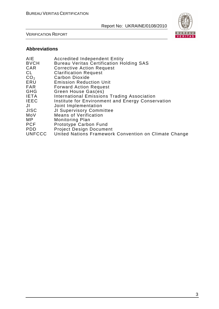

VERIFICATION REPORT

#### **Abbreviations**

| United Nations Framework Convention on Climate Change |
|-------------------------------------------------------|
|                                                       |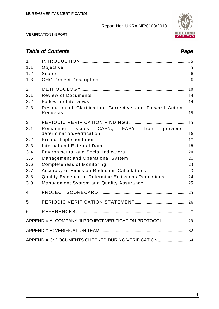

VERIFICATION REPORT

### **Table of Contents Page 2018**

| $\mathbf 1$    |                                                                           |    |
|----------------|---------------------------------------------------------------------------|----|
| 1.1            | Objective                                                                 | 5  |
| 1.2            | Scope                                                                     | 6  |
| 1.3            | <b>GHG Project Description</b>                                            | 6  |
| $\overline{2}$ |                                                                           |    |
| 2.1            | <b>Review of Documents</b>                                                | 14 |
| 2.2            | Follow-up Interviews                                                      | 14 |
| 2.3            | Resolution of Clarification, Corrective and Forward Action<br>Requests    | 15 |
| 3              |                                                                           |    |
| 3.1            | Remaining issues CAR's, FAR's from previous<br>determination/verification | 16 |
| 3.2            | <b>Project Implementation</b>                                             | 17 |
| 3.3            | <b>Internal and External Data</b>                                         | 18 |
| 3.4            | <b>Environmental and Social Indicators</b>                                | 20 |
| 3.5            | <b>Management and Operational System</b>                                  | 21 |
| 3.6            | <b>Completeness of Monitoring</b>                                         | 23 |
| 3.7            | <b>Accuracy of Emission Reduction Calculations</b>                        | 23 |
| 3.8            | Quality Evidence to Determine Emissions Reductions                        | 24 |
| 3.9            | Management System and Quality Assurance                                   | 25 |
| 4              |                                                                           |    |
| 5              |                                                                           |    |
| 6              |                                                                           |    |
|                |                                                                           |    |
|                |                                                                           |    |
|                | APPENDIX C: DOCUMENTS CHECKED DURING VERIFICATION 64                      |    |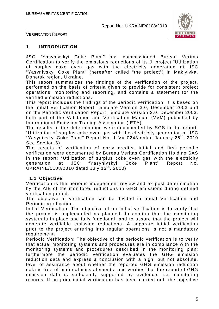

VERIFICATION REPORT

#### **1 INTRODUCTION**

JSC "Yasynivskyi Coke Plant" has commissioned Bureau Veritas Certification to verify the emissions reductions of its JI project "Utilization of surplus coke oven gas with the electricity generation at JSC "Yasynivskyi Coke Plant" (hereafter called "the project") in Makiyivka, Donetsk region, Ukraine.

This report summarizes the findings of the verification of the project, performed on the basis of criteria given to provide for consistent project operations, monitoring and reporting, and contains a statement for the verified emission reductions.

This report includes the findings of the periodic verification. It is based on the Initial Verification Report Template Version 3.0, December 2003 and on the Periodic Verification Report Template Version 3.0, December 2003, both part of the Validation and Verification Manual (VVM) published by International Emission Trading Association (IETA).

The results of the determination were documented by SGS in the report: "Utilization of surplus coke oven gas with the electricity generation at JSC "Yasynivskyi Coke Plant" Report No. JI.VAL0243 dated January 26<sup>th</sup>, 2010 See Section 6).

The results of verification of early credits, initial and first periodic verification were documented by Bureau Veritas Certification Holding SAS in the report: "Utilization of surplus coke oven gas with the electricity generation at JSC "Yasynivskyi Coke Plant" Report No. UKRAINE/0108/2010 dated July 13<sup>th</sup>, 2010).

#### **1.1 Objective**

Verification is the periodic independent review and ex post determination by the AIE of the monitored reductions in GHG emissions during defined verification period.

The objective of verification can be divided in Initial Verification and Periodic Verification.

Initial Verification: The objective of an initial verification is to verify that the project is implemented as planned, to confirm that the monitoring system is in place and fully functional, and to assure that the project will generate verifiable emission reductions. A separate initial verification prior to the project entering into regular operations is not a mandatory requirement.

Periodic Verification: The objective of the periodic verification is to verify that actual monitoring systems and procedures are in compliance with the monitoring systems and procedures described in the monitoring plan; furthermore the periodic verification evaluates the GHG emission reduction data and express a conclusion with a high, but not absolute, level of assurance about whether the reported GHG emission reduction data is free of material misstatements; and verifies that the reported GHG emission data is sufficiently supported by evidence, i.e. monitoring records. If no prior initial verification has been carried out, the objective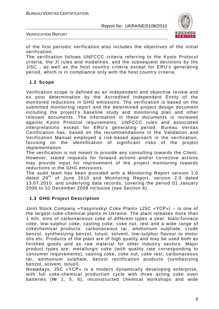

VERIFICATION REPORT

of the first periodic verification also includes the objectives of the initial verification.

The verification follows UNFCCC criteria referring to the Kyoto Protocol criteria, the JI rules and modalities, and the subsequent decisions by the JISC , as well as the host country criteria except for ERU's generating period, which is in compliance only with the host country criteria.

#### **1.2 Scope**

Verification scope is defined as an independent and objective review and ex post determination by the Accredited Independent Entity of the monitored reductions in GHG emissions. The verification is based on the submitted monitoring report and the determined project design document including the project's baseline study and monitoring plan and other relevant documents. The information in these documents is reviewed against Kyoto Protocol requirements, UNFCCC rules and associated interpretations except for ERU's generating period. Bureau Veritas Certification has, based on the recommendations in the Validation and Verification Manual employed a risk-based approach in the verification, focusing on the identification of significant risks of the project implementation.

The verification is not meant to provide any consulting towards the Client. However, stated requests for forward actions and/or corrective actions may provide input for improvement of the project monitoring towards reductions in the GHG emissions.

The audit team has been provided with a Monitoring Report version 1.0 dated 29<sup>th</sup> of June 2010 and Monitoring Report, version 2.0 dated 13.07.2010, and underlying data records, covering the period 01 January 2006 to 31 December 2009 inclusive (see Section 6).

#### **1.3 GHG Project Description**

Joint Stock Company «Yasynivskyi Coke Plant» (JSC «YСР») – is one of the largest coke-chemical plants in Ukraine. The plant releases more than 1 mln. tons of carbonaceous coke of different types a year: blast-furnace coke, low-sulphur coke, casting coke, coke nut, rest and a wide range of cokechemical products: carbonaceous tar, ammonium sulphate, crude benzol, synthesizing benzol, toluol, solvent, low-sulphur flavour to motor oils etc. Products of the plant are of high quality and may be used both as finished goods and as raw material for other industry sectors. Major product types are: metallurgic coke (with quality rate corresponding to consumer requirements), casting coke, coke nut, coke rest, carbonaceous tar, ammonium sulphate, benzol rectification products (synthesizing benzol, solvent, toluol).

Nowadays, JSC «YСР» is a modern dynamically developing enterprise, with full coke-chemical production cycle with three acting coke oven batteries (№ 1, 5, 6), reconstructed chemical workshops and wide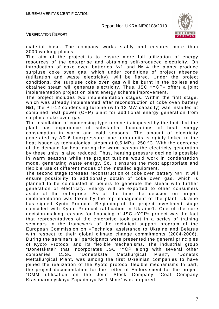

VERIFICATION REPORT

material base. The company works stably and ensures more than 3000 working places.

The aim of the project is to ensure more full utilization of energy resources of the enterprise and obtaining self-produced electricity. On introduction of coke oven batteries №1 and № 4 the plants produce surpluse coke oven gas, which under conditions of project absence (utilization and waste electricity), will be flared. Under the project conditions, the surpluse coke oven gas will be burnt in the boilers and obtained steam will generate electricity. Thus, JSC «YСР» offers a joint implementation project on plant energy scheme improvement.

The project includes two implementation stages. Within the first stage, which was already implemented after reconstruction of coke oven battery №1, the PT-12 condensing turbine (with 12 MW capacity) was installed at combined heat power (CHP) plant for additional energy generation from surpluse coke oven gas.

The installation of condensing type turbine is imposed by the fact that the plant has experience of substantial fluctuations of heat energy consumption in warm and cold seasons. The amount of electricity generated by АR-6 backpressure type turbo-units is rigidly linked to the heat issued as technological steam at 0,5 MPa, 250 ºC. With the decrease of the demand for heat during the warm season the electricity generation by these units is also reduced. Thus, heating pressure decline is possible in warm seasons while the project turbine would work in condensation mode, generating waste energy. So, it ensures the most appropriate and flexible use of different modes of the installed equipment.

The second stage foresees reconstruction of coke oven battery №4. It will ensure possibility to additionally obtain of coke oven gas, which is planned to be combusted in boilers to generate the steam with further generation of electricity. Energy will be exported to other consumers aside of the enterprise. As of the time the decision on project implementation was taken by the top-management of the plant, Ukraine has signed Kyoto Protocol. Beginning of the project investment stage coincided with Kyoto Protocol ratification in Ukraine1. One of the core decision-making reasons for financing of JSC «YСР» project was the fact that representatives of the enterprise took part in a series of training seminars in the framework of the technical support program of the European Commission on «Technical assistance to Ukraine and Belarus with respect to their global climate change commitments (2004-2006). During the seminars all participants were presented the general principles of Kyoto Protocol and its flexible mechanisms. The industrial group "Donetskstal" that incorporates JSC "YСР along with several other companies CJSC "Donetskstal Metallurgical Plant", "Donetsk Mettallurgical Plant, was among the first Ukrainian companies to have joined the realization of the Kyoto protocol flexible mechanisms In part, the project documentation for the Letter of Endorsement for the project "CMM utilisation on the Joint Stock Company "Coal Company Krasnoarmeyskaya Zapadnaya № 1 Mine" was prepared.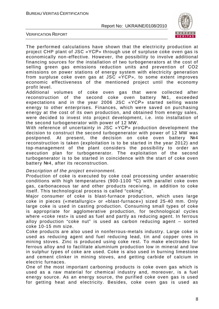



The performed calculations have shown that the electricity production at project CHP plant of JSC «YСР» through use of surpluse coke oven gas is economically non-effective. However, the possibility to involve additional financing sources for the installation of two turbogenerators at the cost of selling green gas emissions reduction units and prevention of СО2 emissions on power stations of energy system with electricity generation from surpluse coke oven gas at JSC «YCP», to some extent improves economic effectiveness of the mentioned project until the economy profit level.

Additional volumes of coke oven gas that were collected after reconstruction of the second coke oven battery №1, exceeded expectations and in the year 2006 JSC «YСР» started selling waste energy to other enterprises. Finances, which were saved on purchasing energy at the cost of its own production, and obtained from energy sales, were decided to invest into project development, i.e. into installation of the second turbogenerator with power of 12 MW.

With reference of uncertainty in JSC «YСР» production development the decision to construct the second turbogenerator with power of 12 MW was postponed. At present, the decision on coke oven battery №4 reconstruction is taken (exploitation is to be started in the year 2012) and top-management of the plant considers the possibility to order an execution plan for turbogenerator. The exploitation of the second turbogenerator is to be started in coincidence with the start of coke oven battery №4, after its reconstruction.

#### Description of the project environment.

Production of coke is executed by coke coal processing under anaerobic conditions with high temperatures (900-1100 ºС) with parallel coke oven gas, carbonaceous tar and other products receiving, in addition to coke itself. This technological process is called "coking".

Major consumer of coke is blast-furnace production, which uses large coke in pieces («metallurgic» or «blast-furnace») sized 25-40 mm. Only large coke is used in casting production. Consuming small types of coke is appropriate for agglomerative production, for technological cycles where «coke rest» is used as fuel and partly as reducing agent. In ferrous alloy production "coke nut" is used as carbon reducing agent – sorted coke 10-15 mm size.

Coke products are also used in nonferrous-metals industry. Large coke is used as reducing agent and fuel reducing lead, tin and copper ores in mining stoves. Zinc is produced using coke rest. To make electrodes for ferrous alloy and to facilitate aluminіum production low in mineral and low in sulphur types of coke are used. Coke is also used in burning limestone and cement clinker in mining stoves, and getting carbide of calcium in electric furnaces.

One of the most important carboning products is coke oven gas which is used as a raw material for chemical industry and, moreover, is a fuel energy source. As an energy source, the purified coke oven gas is used for getting heat and electricity. Besides, coke oven gas is used as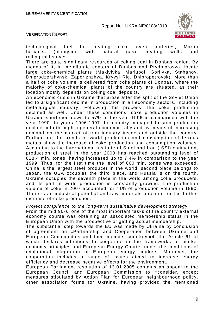

VERIFICATION REPORT

technological fuel for heating coke oven batteries, Martin furnaces (alongside with natural gas), heating wells and rolling-mill stoves.

There are quite significant resources of coking coal in Donbas region. By means of it, in metallurgic centers of Donbas and Prydniprovya, locate large coke-chemical plants (Makiyivka, Mariupol, Gorlivka, Stahanov, Dniprodzerzhynsk, Zaporizhzhya, Kryvyi Rig, Dnipropetrovsk). More than a half of coke volume is delivered from coke plants of Donbas, where the majority of coke-chemical plants of the country are situated, as their location mostly depends on coking coal deposits.

An economic crisis in Ukraine that arose after the split of the Soviet Union led to a significant decline in production in all economy sectors, including metallurgical industry. Following this process, the coke production declined as well. Under these conditions, coke production volumes in Ukraine shortened down to 57% in the year 1996 in comparison with the year 1990. In years 1996-1997 the country managed to stop production decline both through a general economic rally and by means of increasing demand on the market of iron industry inside and outside the country. Further on, the trends of world production and consumption of ferrous metals show the increase of coke production and consumption volumes. According to the International Institute of Steel and Iron (ISSI) estimation, production of steel in the year 2000 has reached outstanding level of 828,4 mln. tones, having increased up to 7,4% in comparison to the year 1999. Thus, for the first time the level of 800 mln. tones was exceeded. China is the largest steel producer in the world, second place belongs to Japan, the USA occupies the third place, and Russia is on the fourth. Ukraine occupies the seventh place in the world among coke producers, and its part in world production is constantly growing. The production volume of coke in 2007 accounted for 41% of production volume in 1990. There is an industrial potential and raw materials potential for the further increase of coke production.

Project compliance to the long-term sustainable development strategy.

From the mid 90-s, one of the most important tasks of the country external economy course was obtaining an associated membership status in the European Union with the prospective of getting actual membership.

The substantial step towards the EU was made by Ukraine by conclusion of agreement on «Partnership and Cooperation between Ukraine and European Communities and their member countries»4, the Article 61 of which declares intentions to cooperate in the frameworks of market economy principles and European Energy Charter under the conditions of evolutional integration of European energy markets. Moreover, the cooperation includes a range of issues aimed to increase energy efficiency and decrease negative effects for the environment.

European Parliament resolution of 13.01.2005 contains an appeal to the European Council and European Commission to «consider, except measures stipulated by Action Plan for European neighbourhood policy, other association forms for Ukraine, having provided the mentioned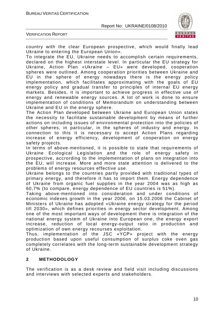

VERIFICATION REPORT

country with the clear European prospective, which would finally lead Ukraine to entering the European Union».

To integrate the EU, Ukraine needs to accomplish certain requirements, declared on the highest interstate level. In particular the EU strategy for Ukraine, Action Plan «Ukraine – EU» were developed, cooperation spheres were outlined. Among cooperation priorities between Ukraine and EU in the sphere of energy nowadays there is the energy policy implementation, which facilitates approximating with the goals of EU energy policy and gradual transfer to principles of internal EU energy markets. Besides, it is important to achieve progress in effective use of energy and renewable energy sources. A lot of work is done to ensure implementation of conditions of Memorandum on understanding between Ukraine and EU in the energy sphere.

The Action Plan developed between Ukraine and European Union states the necessity to facilitate sustainable development by means of further actions on including issues of environmental protection into the policies of other spheres, in particular, in the spheres of industry and energy. In connection to this it is necessary to accept Action Plans regarding increase of energy efficiency, development of cooperation on energy safety projects.

In terms of above-mentioned, it is possible to state that requirements of Ukraine Ecological Legislation and the role of energy safety in prospective, accrording to the implementation of plans on integration into the EU, will increase. More and more state attention is delivered to the problems of energy resources effective use.

Ukraine belongs to the countries partly provided with traditional types of primary energy, and therefore it has to import them. Energy dependence of Ukraine from organic fuel supplies in the year 2004 was as high as 60,7% (to compare, energy dependence of EU countries is 51%).

Taking above-mentioned into consideration and under conditions of economic indexes growth in the year 2006, on 15.03.2006 the Cabinet of Ministers of Ukraine has adopted «Ukraine energy strategy for the period till 2030», which defines priorities in energy sector development. Among one of the most important ways of development there is integration of the national energy system of Ukraine into European one, the energy export increase, reduction of local energy-output ratio in production and optimization of own energy recourses exploitation.

Thus, implementation of the JSC «YСР» project with the energy production based upon useful consumption of surplus coke oven gas completely correlates with the long-term sustainable development strategy of Ukraine.

#### **2 METHODOLOGY**

The verification is as a desk review and field visit including discussions and interviews with selected experts and stakeholders.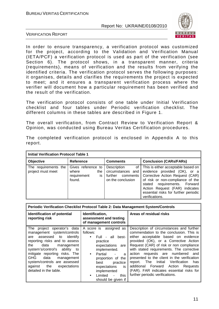

VERIFICATION REPORT

In order to ensure transparency, a verification protocol was customized for the project, according to the Validation and Verification Manual (IETA/PCF) a verification protocol is used as part of the verification (see Section 6). The protocol shows, in a transparent manner, criteria (requirements), means of verification and the results from verifying the identified criteria. The verification protocol serves the following purposes: it organises, details and clarifies the requirements the project is expected to meet; and it ensures a transparent verification process where the verifier will document how a particular requirement has been verified and the result of the verification.

The verification protocol consists of one table under Initial Verification checklist and four tables under Periodic verification checklist. The different columns in these tables are described in Figure 1.

The overall verification, from Contract Review to Verification Report & Opinion, was conducted using Bureau Veritas Certification procedures.

| <b>Initial Verification Protocol Table 1</b> |                                                                   |                                                                                    |                                                                                                                                                                                                                                                                       |  |
|----------------------------------------------|-------------------------------------------------------------------|------------------------------------------------------------------------------------|-----------------------------------------------------------------------------------------------------------------------------------------------------------------------------------------------------------------------------------------------------------------------|--|
| Objective                                    | <b>Reference</b>                                                  | <b>Comments</b>                                                                    | <b>Conclusion (CARs/FARs)</b>                                                                                                                                                                                                                                         |  |
| The requirements the<br>project must meet    | Gives reference to<br>where<br>the<br>requirement<br>is<br>found. | Description<br>0f<br>circumstances and<br>further<br>comments<br>on the conclusion | This is either acceptable based on<br>evidence provided (OK), or a<br>Corrective Action Request (CAR)<br>of risk or non-compliance of the<br>stated requirements. Forward<br>Action Request (FAR) indicates<br>essential risks for further periodic<br>verifications. |  |

The completed verification protocol is enclosed in Appendix A to this report.

| Periodic Verification Checklist Protocol Table 2: Data Management System/Controls                                                                                                                                                                                                                                                                 |                                                                                                                                                                                                                                                                                                                          |                                                                                                                                                                                                                                                                                                                                                                                                                                                                                                                           |  |
|---------------------------------------------------------------------------------------------------------------------------------------------------------------------------------------------------------------------------------------------------------------------------------------------------------------------------------------------------|--------------------------------------------------------------------------------------------------------------------------------------------------------------------------------------------------------------------------------------------------------------------------------------------------------------------------|---------------------------------------------------------------------------------------------------------------------------------------------------------------------------------------------------------------------------------------------------------------------------------------------------------------------------------------------------------------------------------------------------------------------------------------------------------------------------------------------------------------------------|--|
| <b>Identification of potential</b><br>reporting risk                                                                                                                                                                                                                                                                                              | Identification,<br>assessment and testing<br>of management controls                                                                                                                                                                                                                                                      | Areas of residual risks                                                                                                                                                                                                                                                                                                                                                                                                                                                                                                   |  |
| The project operator's data<br>management system/controls<br>assessed to<br>identify<br>are<br>reporting risks and to assess<br>data<br>the<br>management<br>system's/control's ability<br>to<br>mitigate reporting risks. The<br>GHG data<br>management<br>system/controls are assessed<br>against the<br>expectations<br>detailed in the table. | A score is assigned as<br>follows:<br>Full - all best-<br>$\bullet$<br>practice<br>expectations are<br>implemented.<br>Partial<br>$\bullet$<br>a<br>$\blacksquare$<br>proportion of the<br>practice<br>best<br>expectations<br>is<br>implemented<br>Limited<br>this<br>$\blacksquare$<br>$\bullet$<br>should be given if | Description of circumstances and further<br>commendation to the conclusion. This is<br>either acceptable based on evidence<br>provided (OK), or a Corrective Action<br>Request (CAR) of risk or non compliance<br>with stated requirements. The corrective<br>requests are numbered<br>action<br>and<br>presented to the client in the verification<br>report. The Initial<br>Verification<br>has<br>additional Forward Action<br>Requests<br>(FAR). FAR indicates essential risks for<br>further periodic verifications. |  |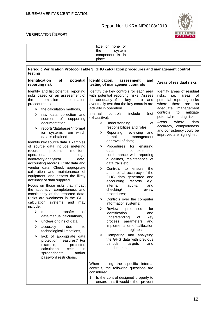

#### VERIFICATION REPORT

| little or none of<br>system<br>the<br>component is in<br>place. |  |
|-----------------------------------------------------------------|--|
|-----------------------------------------------------------------|--|

| Periodic Verification Protocol Table 3: GHG calculation procedures and management control<br>testing                                                                                                                                                                                                                                                                                                                                                                                                                                                                                                                                                                                                                                                                                                                                                                                                                                                                                                                                                                                                                                                                                                                       |                                                                                                                                                                                                                                                                                                                                                                                                                                                                                                                                                                                                                                                                                                                                                                                                                                                                                                                                                                                                                                                                                                                         |                                                                                                                                                                                                                                                                                                                           |  |
|----------------------------------------------------------------------------------------------------------------------------------------------------------------------------------------------------------------------------------------------------------------------------------------------------------------------------------------------------------------------------------------------------------------------------------------------------------------------------------------------------------------------------------------------------------------------------------------------------------------------------------------------------------------------------------------------------------------------------------------------------------------------------------------------------------------------------------------------------------------------------------------------------------------------------------------------------------------------------------------------------------------------------------------------------------------------------------------------------------------------------------------------------------------------------------------------------------------------------|-------------------------------------------------------------------------------------------------------------------------------------------------------------------------------------------------------------------------------------------------------------------------------------------------------------------------------------------------------------------------------------------------------------------------------------------------------------------------------------------------------------------------------------------------------------------------------------------------------------------------------------------------------------------------------------------------------------------------------------------------------------------------------------------------------------------------------------------------------------------------------------------------------------------------------------------------------------------------------------------------------------------------------------------------------------------------------------------------------------------------|---------------------------------------------------------------------------------------------------------------------------------------------------------------------------------------------------------------------------------------------------------------------------------------------------------------------------|--|
| <b>Identification</b><br>of<br>potential<br>reporting risk                                                                                                                                                                                                                                                                                                                                                                                                                                                                                                                                                                                                                                                                                                                                                                                                                                                                                                                                                                                                                                                                                                                                                                 | Identification,<br>and<br>assessment<br>testing of management controls                                                                                                                                                                                                                                                                                                                                                                                                                                                                                                                                                                                                                                                                                                                                                                                                                                                                                                                                                                                                                                                  | Areas of residual risks                                                                                                                                                                                                                                                                                                   |  |
| Identify and list potential reporting<br>risks based on an assessment of<br>emission<br>estimation<br>the<br>procedures, i.e.<br>the calculation methods,<br>➤<br>raw data collection and<br>⋗<br>of<br>supporting<br>sources<br>documentation,<br>≻<br>reports/databases/informat<br>ion systems from which<br>data is obtained.<br>Identify key source data. Examples<br>of source data include metering<br>records,<br>monitors,<br>process<br>operational<br>logs,<br>laboratory/analytical<br>data,<br>accounting records, utility data and<br>vendor data. Check appropriate<br>calibration and maintenance of<br>equipment, and assess the likely<br>accuracy of data supplied.<br>Focus on those risks that impact<br>the accuracy, completeness and<br>consistency of the reported data.<br>Risks are weakness in the GHG<br>calculation<br>systems<br>and<br>may<br>include:<br>of<br>⋗<br>transfer<br>manual<br>data/manual calculations,<br>unclear origins of data,<br>➤<br>due<br>➤<br>to<br>accuracy<br>technological limitations,<br>≻<br>lack of appropriate data<br>protection measures? For<br>example,<br>protected<br>calculation<br>cells<br>in.<br>spreadsheets<br>and/or<br>password restrictions. | Identify the key controls for each area<br>with potential reporting risks. Assess<br>the adequacy of the key controls and<br>eventually test that the key controls are<br>actually in operation.<br>Internal<br>controls<br>include<br>(not<br>exhaustive):<br>of<br>Understanding<br>➤<br>responsibilities and roles<br>Reporting,<br>reviewing<br>➤<br>and<br>formal<br>management<br>approval of data;<br>Procedures<br>for<br>➤<br>ensuring<br>completeness,<br>data<br>conformance with reporting<br>guidelines, maintenance of<br>data trails etc.<br>⋗<br>Controls<br>to<br>the<br>ensure<br>arithmetical accuracy of the<br>GHG data generated and<br>records<br>accounting<br>e.g.<br>internal<br>audits,<br>and<br>checking/<br>review<br>procedures;<br>Controls over the computer<br>⋗<br>information systems;<br>Review<br>➤<br>processes<br>for<br>identification<br>and<br>understanding<br>of<br>key<br>and<br>process<br>parameters<br>implementation of calibration<br>maintenance regimes<br>Comparing and analysing<br>⋗<br>the GHG data with previous<br>periods,<br>targets<br>and<br>benchmarks. | Identify areas of residual<br>risks.<br>i.e.<br>areas<br>οf<br>potential reporting risks<br>where<br>there<br>are<br>no<br>adequate<br>management<br>controls<br>to<br>mitigate<br>potential reporting risks<br>where<br>Areas<br>data<br>accuracy, completeness<br>and consistency could be<br>improved are highlighted. |  |
|                                                                                                                                                                                                                                                                                                                                                                                                                                                                                                                                                                                                                                                                                                                                                                                                                                                                                                                                                                                                                                                                                                                                                                                                                            | When testing the specific internal<br>controls, the following questions are<br>considered:<br>1. Is the control designed properly to<br>ensure that it would either prevent                                                                                                                                                                                                                                                                                                                                                                                                                                                                                                                                                                                                                                                                                                                                                                                                                                                                                                                                             |                                                                                                                                                                                                                                                                                                                           |  |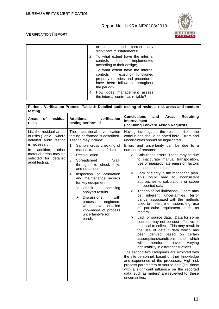

#### VERIFICATION REPORT

r

| detect and<br>correct<br>any<br>or<br>significant misstatements?                                                                                               |  |
|----------------------------------------------------------------------------------------------------------------------------------------------------------------|--|
| 2. To what extent have the internal<br>controls been implemented<br>according to their design;                                                                 |  |
| 3. To what extent have the internal<br>controls (if existing) functioned<br>properly (policies and procedures<br>have been followed) throughout<br>the period? |  |
| 4. How does management assess<br>the internal control as reliable?                                                                                             |  |

| Periodic Verification Protocol Table 4: Detailed audit testing of residual risk areas and random<br>testing                                                                                    |                                                                                                                                                                                                                                                                                                                                                                                                                                                                                                                                                        |                                                                                                                                                                                                                                                                                                                                                                                                                                                                                                                                                                                                                                                                                                                                                                                                                                                                                                                                                                                                                                                                                                                                                                                                                                                                                                                                                                                |  |
|------------------------------------------------------------------------------------------------------------------------------------------------------------------------------------------------|--------------------------------------------------------------------------------------------------------------------------------------------------------------------------------------------------------------------------------------------------------------------------------------------------------------------------------------------------------------------------------------------------------------------------------------------------------------------------------------------------------------------------------------------------------|--------------------------------------------------------------------------------------------------------------------------------------------------------------------------------------------------------------------------------------------------------------------------------------------------------------------------------------------------------------------------------------------------------------------------------------------------------------------------------------------------------------------------------------------------------------------------------------------------------------------------------------------------------------------------------------------------------------------------------------------------------------------------------------------------------------------------------------------------------------------------------------------------------------------------------------------------------------------------------------------------------------------------------------------------------------------------------------------------------------------------------------------------------------------------------------------------------------------------------------------------------------------------------------------------------------------------------------------------------------------------------|--|
| residual<br>οf<br>Areas<br>risks                                                                                                                                                               | <b>Additional</b><br>verification<br>testing performed                                                                                                                                                                                                                                                                                                                                                                                                                                                                                                 | <b>Conclusions</b><br>and<br><b>Areas</b><br><b>Requiring</b><br>Improvement<br>(including Forward Action Requests)                                                                                                                                                                                                                                                                                                                                                                                                                                                                                                                                                                                                                                                                                                                                                                                                                                                                                                                                                                                                                                                                                                                                                                                                                                                            |  |
| List the residual areas<br>of risks (Table 2 where<br>detailed audit testing<br>is necessary.<br>addition,<br>other<br>In.<br>material areas may be<br>selected for detailed<br>audit testing. | additional<br>verification<br>The<br>testing performed is described.<br>Testing may include:<br>Sample cross checking of<br>1.<br>manual transfers of data<br>Recalculation<br>2.<br>3.<br>Spreadsheet<br>ʻwalk<br>throughs' to check links<br>and equations<br>Inspection of calibration<br>4.<br>and maintenance records<br>for key equipment<br>$\triangleright$ Check<br>sampling<br>analysis results<br><b>Discussions</b><br>➤<br>with<br>engineers<br>process<br>who<br>have<br>detailed<br>knowledge of process<br>uncertainty/error<br>bands. | Having investigated the residual risks, the<br>conclusions should be noted here. Errors and<br>uncertainties should be highlighted.<br>Errors and uncertainty can be due to a<br>number of reasons:<br>Calculation errors. These may be due<br>≻<br>to inaccurate manual transposition,<br>use of inappropriate emission factors<br>or assumptions etc.<br>Lack of clarity in the monitoring plan.<br>➤<br>could lead to inconsistent<br>This<br>approaches to calculations or scope<br>of reported data.<br>Technological limitations. There may<br>➤<br>inherent<br>uncertainties<br>be<br>(error<br>bands) associated with the methods<br>used to measure emissions e.g. use<br>of particular equipment such as<br>meters.<br>Lack of source data. Data for some<br>≻<br>sources may not be cost effective or<br>practical to collect. This may result in<br>the use of default data which has<br>been derived based<br>on certain<br>assumptions/conditions<br>and which<br>will<br>therefore<br>have<br>varying<br>applicability in different situations.<br>The second two categories are explored with<br>the site personnel, based on their knowledge<br>and experience of the processes. High risk<br>process parameters or source data (i.e. those<br>with a significant influence on the reported<br>data, such as meters) are reviewed for these<br>uncertainties. |  |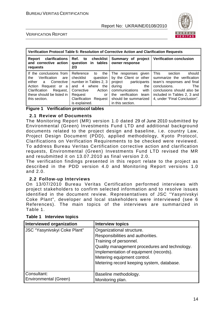

#### VERIFICATION REPORT

| Verification Protocol Table 5: Resolution of Corrective Action and Clarification Requests                                                                                                 |                                                                                                                                                                                      |                                                                                                                                                                                          |                                                                                                                                                                                                                         |
|-------------------------------------------------------------------------------------------------------------------------------------------------------------------------------------------|--------------------------------------------------------------------------------------------------------------------------------------------------------------------------------------|------------------------------------------------------------------------------------------------------------------------------------------------------------------------------------------|-------------------------------------------------------------------------------------------------------------------------------------------------------------------------------------------------------------------------|
| clarifications<br>Report<br>and corrective action<br>requests                                                                                                                             | to checklist<br>Ref.<br>question in tables<br>2/3                                                                                                                                    | Summary of project<br>owner response                                                                                                                                                     | <b>Verification conclusion</b>                                                                                                                                                                                          |
| If the conclusions from<br>Verification<br>the<br>are<br>either<br>Corrective<br>a a<br>Action<br>Request or a<br>Request,<br>Clarification<br>these should be listed in<br>this section. | Reference<br>the<br>to<br>checklist<br>question<br>number in Tables 2, 3<br>and 4 where<br>the<br>Corrective<br>Action<br>Request<br>or<br>Clarification<br>Request<br>is explained. | The responses given<br>by the Client or other<br>project participants<br>during<br>the<br>communications<br>with<br>the verification<br>team<br>should be summarized<br>in this section. | <b>This</b><br>should<br>section<br>summarize the verification<br>team's responses and final<br>conclusions.<br><b>The</b><br>conclusions should also be<br>included in Tables 2, 3 and<br>4, under "Final Conclusion". |

#### **Figure 1 Verification protocol tables**

#### **2.1 Review of Documents**

The Monitoring Report (MR) version 1.0 dated 29 of June 2010 submitted by Environmental (Green) Investments Fund LTD and additional background documents related to the project design and baseline, i.e. country Law, Project Design Document (PDD), applied methodology, Kyoto Protocol, Clarifications on Verification Requirements to be checked were reviewed. To address Bureau Veritas Certification corrective action and clarification requests, Environmental (Green) Investments Fund LTD revised the MR and resubmitted it on 13.07.2010 as final version 2.0.

The verification findings presented in this report relate to the project as described in the PDD version 4.0 and Monitoring Report versions 1.0 and 2.0.

#### **2.2 Follow-up Interviews**

On 13/07/2010 Bureau Veritas Certification performed interviews with project stakeholders to confirm selected information and to resolve issues identified in the document review. Representatives of JSC "Yasynivskyi Coke Plant", developer and local stakeholders were interviewed (see 6 References). The main topics of the interviews are summarized in Table 1.

| Interviewed organization                    | <b>Interview topics</b>                                                                                                                                                                                                                                         |
|---------------------------------------------|-----------------------------------------------------------------------------------------------------------------------------------------------------------------------------------------------------------------------------------------------------------------|
| <b>JSC "Yasynivskyi Coke Plant"</b>         | Organizational structure.<br>Responsibilities and authorities.<br>Training of personnel.<br>Quality management procedures and technology.<br>Implementation of equipment (records).<br>Metering equipment control.<br>Metering record keeping system, database. |
| Consultant:<br><b>Environmental (Green)</b> | Baseline methodology.<br>Monitoring plan.                                                                                                                                                                                                                       |

#### **Table 1 Interview topics**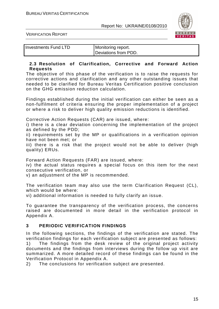

VERIFICATION REPORT

Investments Fund LTD Monitoring report.

Deviations from PDD.

#### **2.3 Resolution of Clarification, Corrective and Forward Action Requests**

The objective of this phase of the verification is to raise the requests for corrective actions and clarification and any other outstanding issues that needed to be clarified for Bureau Veritas Certification positive conclusion on the GHG emission reduction calculation.

Findings established during the initial verification can either be seen as a non-fulfilment of criteria ensuring the proper implementation of a project or where a risk to deliver high quality emission reductions is identified.

Corrective Action Requests (CAR) are issued, where:

i) there is a clear deviation concerning the implementation of the project as defined by the PDD;

ii) requirements set by the MP or qualifications in a verification opinion have not been met; or

iii) there is a risk that the project would not be able to deliver (high quality) ERUs.

Forward Action Requests (FAR) are issued, where:

iv) the actual status requires a special focus on this item for the next consecutive verification, or

v) an adjustment of the MP is recommended.

The verification team may also use the term Clarification Request (CL), which would be where:

vi) additional information is needed to fully clarify an issue.

To guarantee the transparency of the verification process, the concerns raised are documented in more detail in the verification protocol in Appendix A.

#### **3 PERIODIC VERIFICATION FINDINGS**

In the following sections, the findings of the verification are stated. The verification findings for each verification subject are presented as follows: 1) The findings from the desk review of the original project activity documents and the findings from interviews during the follow up visit are summarized. A more detailed record of these findings can be found in the Verification Protocol in Appendix A.

2) The conclusions for verification subject are presented.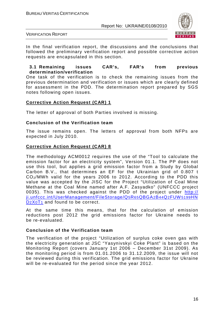

#### VERIFICATION REPORT

In the final verification report, the discussions and the conclusions that followed the preliminary verification report and possible corrective action requests are encapsulated in this section.

#### **3.1 Remaining issues CAR's, FAR's from previous determination/verification**

One task of the verification is to check the remaining issues from the previous determination and verification or issues which are clearly defined for assessment in the PDD. The determination report prepared by SGS notes following open issues.

#### **Corrective Action Request (CAR) 1**

The letter of approval of both Parties involved is missing.

#### **Conclusion of the Verification team**

The issue remains open. The letters of approval from both NFPs are expected in July 2010.

#### **Corrective Action Request (CAR) 8**

The methodology ACM0012 requires the use of the "Tool to calculate the emission factor for an electricity system", Version 01.1. The PP does not use this tool, but applies a grid emission factor from a Study by Global Carbon B.V., that determines an EF for the Ukrainian grid of 0.807 t  $CO<sub>2</sub>/MWh$  valid for the years 2006 to 2012. According to the PDD this value was accepted by the JISC for the Project "Utilization of Coal Mine Methane at the Coal Mine named after A.F. Zasyadko" (UNFCCC project 0035). This was checked against the PDD of the project under http:// ji.unfccc.int/UserManagement/FileStorage/Q5R65QBGA2B44Q2FUW5199HN D<sub>2</sub>X<sub>0</sub>T<sub>1</sub> and found to be correct.

At the same time this means, that for the calculation of emission reductions post 2012 the grid emissions factor for Ukraine needs to be re-evaluated.

#### **Conclusion of the Verification team**

The verification of the project "Utilization of surplus coke oven gas with the electricity generation at JSC "Yasynivskyi Coke Plant" is based on the Monitoring Report (covers January 1st 2006 – December 31st 2009). As the monitoring period is from 01.01.2006 to 31.12.2009, the issue will not be reviewed during this verification. The grid emissions factor for Ukraine will be re-evaluated for the period since the year 2012.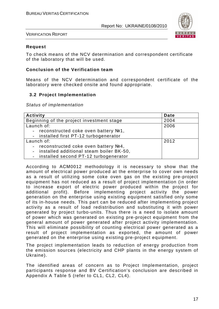

VERIFICATION REPORT

#### **Request**

To check means of the NCV determination and correspondent certificate of the laboratory that will be used.

#### **Conclusion of the Verification team**

Means of the NCV determination and correspondent certificate of the laboratory were checked onsite and found appropriate.

#### **3.2 Project Implementation**

Status of implementation

| Activity                                          | <b>Date</b> |
|---------------------------------------------------|-------------|
| Beginning of the project investment stage         | 2004        |
| Launch of:                                        | 2006        |
| reconstructed coke oven battery №1,               |             |
| - installed first PT-12 turbogenerator            |             |
| Launch of:                                        | 2012        |
| reconstructed coke oven battery №4,<br>$\sim$     |             |
| installed additional steam boiler BK-50,          |             |
| installed second PT-12 turbogenerator<br>$\sim$ . |             |

According to АСМ0012 methodology it is necessary to show that the amount of electrical power produced at the enterprise to cover own needs as a result of utilizing some coke oven gas on the existing pre-project equipment has not reduced as a result of project implementation (in order to increase export of electric power produced within the project for additional profit). Before implementing project activity the power generation on the enterprise using existing equipment satisfied only some of its in-house needs. This part can be reduced after implementing project activity as a result of load redistribution and substituting it with power generated by project turbo-units. Thus there is a need to isolate amount of power which was generated on existing pre-project equipment from the general amount of power generated after project activity implementation. This will eliminate possibility of counting electrical power generated as a result of project implementation as exported, the amount of power generated on the enterprise using existing pre-project equipment.

The project implementation leads to reduction of energy production from the emission sources (electricity and CHP plants in the energy system of Ukraine).

The identified areas of concern as to Project Implementation, project participants response and BV Certification's conclusion are described in Appendix A Table 5 (refer to CL1, CL2, CL4).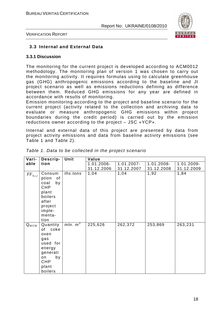

VERIFICATION REPORT

#### **3.3 Internal and External Data**

#### **3.3.1 Discussion**

The monitoring for the current project is developed according to ACM0012 methodology. The monitoring plan of version 1 was chosen to carry out the monitoring activity. It requires formulas using to calculate greenhouse gas (GHG) anthropogenic emissions according to the baseline and JI project scenario as well as emissions reductions defining as difference between them. Reduced GHG emissions for any year are defined in accordance with results of monitoring.

Emission monitoring according to the project and baseline scenario for the current project (activity related to the collection and archiving data to evaluate or measure anthropogenic GHG emissions within project boundaries during the credit period) is carried out by the emission reductions owner according to the project – JSC «YCP».

Internal and external data of this project are presented by data from project activity emissions and data from baseline activity emissions (see Table 1 and Table 2).

| Vari-                            | Descrip-                                                                                                              | Unit       | Value      |               |            |            |
|----------------------------------|-----------------------------------------------------------------------------------------------------------------------|------------|------------|---------------|------------|------------|
| able                             | tion                                                                                                                  |            | 1.01.2006- | $1.01.2007 -$ | 1.01.2008- | 1.01.2009- |
|                                  |                                                                                                                       |            | 31.12.2006 | 31.12.2007    | 31.12.2008 | 31.12.2009 |
| $FF_{\scriptscriptstyle{A,i,y}}$ | Consum<br>of<br>ption<br>coal<br>by<br><b>CHP</b><br>plant<br>boilers<br>after<br>project<br>imple-<br>menta-<br>tion | ths.tons   | 1,04       | 1,04          | 1,92       | 1,84       |
| $Q_{WCM}$                        | Quantity<br>of coke<br>oven<br>gas<br>used for<br>energy<br>generati<br>by<br>on<br><b>CHP</b><br>plant<br>boilers    | mln. $m^3$ | 225,626    | 262,372       | 253,869    | 263,231    |

|  | Table 1. Data to be collected in the project scenario |  |  |  |
|--|-------------------------------------------------------|--|--|--|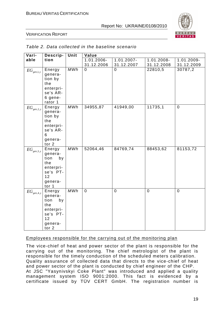

#### VERIFICATION REPORT

| Vari-                                | Descrip-                                                                                  | Unit       | Value          |                |             |             |
|--------------------------------------|-------------------------------------------------------------------------------------------|------------|----------------|----------------|-------------|-------------|
| able                                 | tion                                                                                      |            | 1.01.2006-     | 1.01.2007-     | 1.01.2008-  | 1.01.2009-  |
|                                      |                                                                                           |            | 31.12.2006     | 31.12.2007     | 31.12.2008  | 31.12.2009  |
| $EG_{\mathfrak{gen},1,y}$            | Energy<br>genera-<br>tion by<br>the<br>enterpri-<br>se's AR-<br>6 gene-<br>rator 1        | <b>MWh</b> | $\overline{0}$ | $\overline{0}$ | 22810,5     | 30787,2     |
| $EG_{\mathit{gen},2,y}$              | Energy<br>genera-<br>tion by<br>the<br>enterpri-<br>se's AR-<br>6<br>genera-<br>tor 2     | MWh        | 34955,87       | 41949,00       | 11735,1     | $\mathbf 0$ |
| $EG_{\mathit{gen},3,y}$              | Energy<br>genera-<br>tion<br>by<br>the<br>enterpri-<br>se's PT-<br>12<br>genera-<br>tor 1 | MWh        | 52064,46       | 84769,74       | 88453,62    | 81153,72    |
| $EG_{\mathfrak{gen},4,\mathfrak{y}}$ | Energy<br>genera-<br>tion<br>by<br>the<br>enterpri-<br>se's PT-<br>12<br>genera-<br>tor 2 | MWh        | $\mathbf 0$    | $\mathbf 0$    | $\mathbf 0$ | $\mathbf 0$ |

#### Table 2. Data collected in the baseline scenario

#### Employees responsible for the carrying out of the monitoring plan

The vice-chief of heat and power sector of the plant is responsible for the carrying out of the monitoring. The chief metrologist of the plant is responsible for the timely conduction of the scheduled meters calibration. Quality assurance of collected data that directs to the vice-chief of heat and power sector of the plant is conducted by chief engineer of the CHP. At JSC "Yasynivskyi Coke Plant" was introduced and applied a quality management system ISO 9001:2000. This fact is evidenced by a certificate issued by TÜV CERT GmbH. The registration number is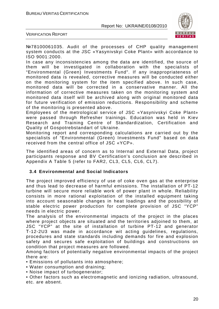

VERIFICATION REPORT

№78100061035. Audit of the processes of CHP quality management system conducts at the JSC «Yasynivskyi Coke Plant» with accordance to ISO 9001:2000.

In case any inconsistencies among the data are identified, the source of them will be investigated in collaboration with the specialists of "Environmental (Green) Investments Fund". If any inappropriateness of monitored data is revealed, corrective measures will be conducted either on the monitoring system for the item specified above. In such case, monitored data will be corrected in a conservative manner. All the information of corrective measures taken on the monitoring system and monitored data itself will be archived along with original monitored data for future verification of emission reductions. Responsibility and scheme of the monitoring is presented above.

Employees of the metrological service of JSC «Yasynivskyi Coke Plant» were passed through Refresher trainings. Education was held in Kiev Research and Training Centre of Standardization, Certification and Quality of Gospotrebstandart of Ukraine.

Monitoring report and corresponding calculations are carried out by the specialists of "Environmental (Green) Investments Fund" based on data received from the central office of JSC «YCP».

The identified areas of concern as to Internal and External Data, project participants response and BV Certification's conclusion are described in Appendix A Table 5 (refer to FAR2, CL3, CL5, CL6, CL7).

#### **3.4 Environmental and Social Indicators**

The project improved efficiency of use of coke oven gas at the enterprise and thus lead to decrease of harmful emissions. The installation of PT-12 turbine will secure more reliable work of power plant in whole. Reliability consists in more rational exploitation of the installed equipment taking into account seasonable changes in heat loadings and the possibility of stable electric power production for complete provision of JSC "YCP" needs in electric power.

The analysis of the environmental impacts of the project in the places where project objects are situated and the territories adjoined to them, at JSC "YCP" at the site of installation of turbine PT-12 and generator Т-12-2U3 was made in accordance wit acting guidelines, regulations, procedures and state standards including demands for fire and explosion safety and secures safe exploitation of buildings and constructions on condition that project measures are followed.

Among factors of potentially negative environmental impacts of the project there are:

• Emissions of pollutants into atmosphere;

- Water consumption and draining;
- Noise impact of turbogenerator;

• Other factors such as electromagnetic and ionizing radiation, ultrasound, etc. are absent.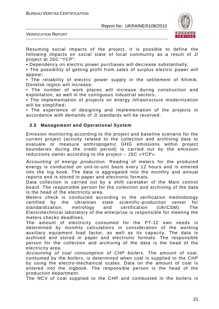

VERIFICATION REPORT

Resuming social impacts of the project, it is possible to define the following impacts on social state of local community as a result of JI project at JSC "YCP":

• Dependency on electric power purchases will decrease substantially;

• The possibility of getting profit from sales of surplus electric power will appear;

• The reliability of electric power supply in the settlement of Khimik, Donetsk region will increase;

• The number of work places will increase during construction and exploitation, as well in the contiguous industrial sectors;

• The implementation of projects on energy infrastructure modernization will be simplified;

• The experience of designing and implementation of the projects in accordance with demands of JI standards will be received.

#### **3.5 Management and Operational System**

Emission monitoring according to the project and baseline scenario for the current project (activity related to the collection and archiving data to evaluate or measure anthropogenic GHG emissions within project boundaries during the credit period) is carried out by the emission reductions owner according to the project – JSC «YCP».

Accounting of energy production. Reading of meters for the produced energy is conducted on unit-to-unit basis every 12 hours and is entered into the log book. The data is aggregated into the monthly and annual reports and is stored in paper and electronic formats.

Data collection is carried out by a shift caretaker of the Main control board. The responsible person for the collection and archiving of the data is the head of the electricity area.

Meters check is conducted according to the verification methodology certified by the Ukrainian state scientific-production center for standardization, metrology and certification (UkrCSM). The Electrotechnical laboratory of the enterprise is responsible for meeting the meters checks deadlines.

The amount of electricity consumed for the PT-12 own needs is determined by monthly calculations in consideration of the working auxiliary equipment load factor, as well as its capacity. The data is archived and stored in paper and electronic formats. The responsible person for the collection and archiving of the data is the head of the electricity area.

Accounting of coal consumption of CHP boilers. The amount of coal, consumed by the boilers, is determined when coal is supplied to the CHP by using the electro-mechanical scales. Data on the amount of coal is entered into the logbook. The responsible person is the head of the production department.

The NCV of coal supplied to the CHP and combusted in the boilers is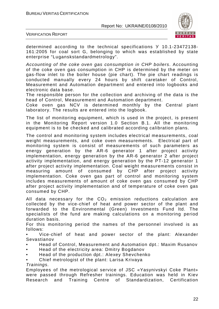

VERIFICATION REPORT

determined according to the technical specifications У 10.1-23472138- 161:2005 for coal sort G, belonging to which was established by state enterprise "Luganskstandardmetrology".

Accounting of the coke oven gas consumption in CHP boilers. Accounting of the coke oven gas consumption in CHP is determined by the meter on gas-flow inlet to the boiler house (pie chart). The pie chart readings is conducted manually every 24 hours by shift caretaker of Control, Measurement and Automation department and entered into logbooks and electronic data base.

The responsible person for the collection and archiving of the data is the head of Control, Measurement and Automation department.

Coke oven gas NCV is determined monthly by the Central plant laboratory. The results are entered into the logbook.

The list of monitoring equipment, which is used in the project, is present in the Monitoring Report version 1.0 Section B.1. All the monitoring equipment is to be checked and calibrated according calibration plans.

The control and monitoring system includes electrical measurements, coal weight measurements, and coke oven measurements. Electrical part of monitoring system is consist of measurements of such parameters as energy generation by the AR-6 generator 1 after project activity implementation, energy generation by the AR-6 generator 2 after project activity implementation, and energy generation by the PT-12 generator 1 after project activity implementation. Coal weight measurements consist in measuring amount of consumed by CHP after project activity implementation. Coke oven gas part of control and monitoring system includes measurements of amount of coke oven gas consumed by CHP after project activity implementation and of temperature of coke oven gas consumed by CHP.

All data necessary for the  $CO<sub>2</sub>$  emission reductions calculation are collected by the vice-chief of heat and power sector of the plant and forwarded to the Environmental (Green) Investments Fund ltd. The specialists of the fund are making calculations on a monitoring period duration basis.

For this monitoring period the names of the personnel involved is as follows:

• Vice-chief of heat and power sector of the plant: Alexander Sevastianov

- Head of Control, Measurement and Automation dpt.: Maxim Rusanov
- Head of the electricity area: Dmitry Bogdanov
- Head of the production dpt.: Alexey Shevchenko
- Chief metrologist of the plant: Larisa Krivaya

#### Trainings.

Employees of the metrological service of JSC «Yasynivskyi Coke Plant» were passed through Refresher trainings. Education was held in Kiev Research and Training Centre of Standardization, Certification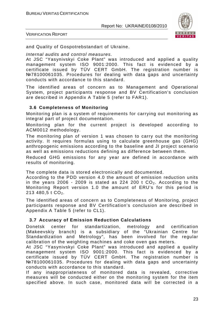

VERIFICATION REPORT

and Quality of Gospotrebstandart of Ukraine.

Internal audits and control measures.

At JSC "Yasynivskyi Coke Plant" was introduced and applied a quality management system ISO 9001:2000. This fact is evidenced by a certificate issued by TÜV CERT GmbH. The registration number is №78100061035. Procedures for dealing with data gaps and uncertainty conducts with accordance to this standard.

The identified areas of concern as to Management and Operational System, project participants response and BV Certification's conclusion are described in Appendix A Table 5 (refer to FAR1).

#### **3.6 Completeness of Monitoring**

Monitoring plan is a system of requirements for carrying out monitoring as integral part of project documentation.

Monitoring plan for the current project is developed according to ACM0012 methodology.

The monitoring plan of version 1 was chosen to carry out the monitoring activity. It requires formulas using to calculate greenhouse gas (GHG) anthropogenic emissions according to the baseline and JI project scenario as well as emissions reductions defining as difference between them.

Reduced GHG emissions for any year are defined in accordance with results of monitoring.

The complete data is stored electronically and documented.

According to the PDD version 4.0 the amount of emission reduction units in the years 2006 - 2009 is stated as 224 200 t  $CO<sub>2</sub>$ . According to the Monitoring Report version 1.0 the amount of ERU's for this period is  $213480.5$  t  $CO<sub>2</sub>$ .

The identified areas of concern as to Completeness of Monitoring, project participants response and BV Certification's conclusion are described in Appendix A Table 5 (refer to CL1).

#### **3.7 Accuracy of Emission Reduction Calculations**

Donetsk center for standartization, metrology and certification (Makeevskiy branch) is a subsidiary of the "Ukrainian Centre for Standardization and Metrology", has been involved for the regular calibration of the weighting machines and coke oven gas meters.

At JSC "Yasynivskyi Coke Plant" was introduced and applied a quality management system ISO 9001:2000. This fact is evidenced by a certificate issued by TÜV CERT GmbH. The registration number is №78100061035. Procedures for dealing with data gaps and uncertainty conducts with accordance to this standard.

If any inappropriateness of monitored data is revealed, corrective measures will be conducted either on the monitoring system for the item specified above. In such case, monitored data will be corrected in a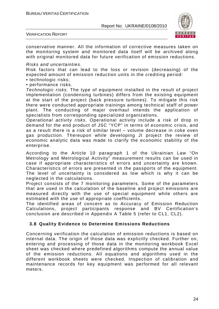

VERIFICATION REPORT

conservative manner. All the information of corrective measures taken on the monitoring system and monitored data itself will be archived along with original monitored data for future verification of emission reductions.

Risks and uncertainties.

Risk factors that can lead to the loss or revision (decreasing) of the expected amount of emission reduction units in the crediting period:

- technologic risks;
- performance risks.

Technologic risks. The type of equipment installed in the result of project implementation (condensing turbines) differs from the existing equipment at the start of the project (back pressure turbines). To mitigate this risk there were conducted appropriate trainings among technical staff of power plant. The conducting of major overhaul intends the application of specialists from corresponding specialized organizations.

Operational activity risks. Operational activity include a risk of drop in demand for the end product of JSC "YCP" in terms of economic crisis, and as a result there is a risk of similar level – volume decrease in coke oven gas production. Thereupon while developing JI project the review of economic analytic data was made to clarify the economic stability of the enterprise.

According to the Article 10 paragraph 1 of the Ukrainian Law "On Metrology and Metrological Activity" measurement results can be used in case if appropriate characteristics of errors and uncertainty are known. Characteristics of errors are presented in the passports of the equipment. The level of uncertainty is considered as low which is why it can be neglected in the calculations.

Project consists of the 7 monitoring parameters. Some of the parameters that are used in the calculation of the baseline and project emissions are measured directly with the use of special equipment while others are estimated with the use of appropriate coefficients.

The identified areas of concern as to Accuracy of Emission Reduction Calculations, project participants response and BV Certification's conclusion are described in Appendix A Table 5 (refer to CL1, CL2).

#### **3.8 Quality Evidence to Determine Emissions Reductions**

Concerning verification the calculation of emission reductions is based on internal data. The origin of those data was explicitly checked. Further on, entering and processing of those data in the monitoring workbook Excel sheet was checked where predefined algorithms compute the annual value of the emission reductions. All equations and algorithms used in the different workbook sheets were checked. Inspection of calibration and maintenance records for key equipment was performed for all relevant meters.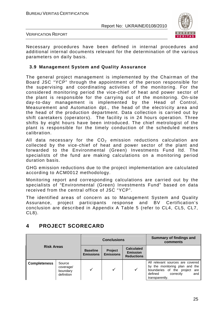

VERIFICATION REPORT

Necessary procedures have been defined in internal procedures and additional internal documents relevant for the determination of the various parameters on daily basis.

#### **3.9 Management System and Quality Assurance**

The general project management is implemented by the Chairman of the Board JSC "YCP" through the appointment of the person responsible for the supervising and coordinating activities of the monitoring. For the considered monitoring period the vice-chief of heat and power sector of the plant is responsible for the carrying out of the monitoring. On-site day-to-day management is implemented by the Head of Control, Measurement and Automation dpt., the head of the electricity area and the head of the production department. Data collection is carried out by shift caretakers (operators). The facility is in 24 hours operation. Three shifts by eight hours have been introduced. The chief metrologist of the plant is responsible for the timely conduction of the scheduled meters calibration.

All data necessary for the  $CO<sub>2</sub>$  emission reductions calculation are collected by the vice-chief of heat and power sector of the plant and forwarded to the Environmental (Green) Investments Fund ltd. The specialists of the fund are making calculations on a monitoring period duration basis.

GHG emission reductions due to the project implementation are calculated according to ACM0012 methodology.

Monitoring report and corresponding calculations are carried out by the specialists of "Environmental (Green) Investments Fund" based on data received from the central office of JSC "YCP".

The identified areas of concern as to Management System and Quality Assurance, project participants response and BV Certification's conclusion are described in Appendix A Table 5 (refer to CL4, CL5, CL7, CL8).

#### **4 PROJECT SCORECARD**

|                     |                                               |                                     | <b>Conclusions</b>          |                                                           | <b>Summary of findings and</b><br>comments                                                                                                           |
|---------------------|-----------------------------------------------|-------------------------------------|-----------------------------|-----------------------------------------------------------|------------------------------------------------------------------------------------------------------------------------------------------------------|
| <b>Risk Areas</b>   |                                               | <b>Baseline</b><br><b>Emissions</b> | Project<br><b>Emissions</b> | <b>Calculated</b><br><b>Emission</b><br><b>Reductions</b> |                                                                                                                                                      |
| <b>Completeness</b> | Source<br>coverage/<br>boundary<br>definition |                                     |                             |                                                           | All relevant sources are covered<br>by the monitoring plan and the<br>boundaries of the project are<br>defined<br>correctly<br>and<br>transparently. |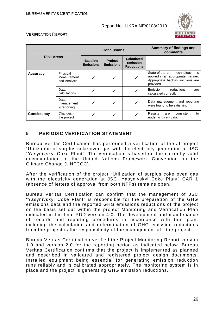

#### VERIFICATION REPORT

| <b>Risk Areas</b>  |                                         |                                     | <b>Conclusions</b>          |                                                           | <b>Summary of findings and</b><br>comments                                                                                 |
|--------------------|-----------------------------------------|-------------------------------------|-----------------------------|-----------------------------------------------------------|----------------------------------------------------------------------------------------------------------------------------|
|                    |                                         | <b>Baseline</b><br><b>Emissions</b> | Project<br><b>Emissions</b> | <b>Calculated</b><br><b>Emission</b><br><b>Reductions</b> |                                                                                                                            |
| <b>Accuracy</b>    | Physical<br>Measurement<br>and Analysis | ✓                                   |                             |                                                           | State-of-the-art<br>technology<br>is<br>applied in an appropriate manner.<br>Appropriate backup solutions are<br>provided. |
|                    | Data<br>calculations                    |                                     |                             |                                                           | Emission<br>reductions<br>are<br>calculated correctly                                                                      |
|                    | Data<br>management<br>& reporting       | ✓                                   |                             |                                                           | Data management and reporting<br>were found to be satisfying.                                                              |
| <b>Consistency</b> | Changes in<br>the project               |                                     |                             |                                                           | <b>Results</b><br>consistent<br>are<br>to<br>underlying raw data.                                                          |

#### **5 PERIODIC VERIFICATION STATEMENT**

Bureau Veritas Certification has performed a verification of the JI project "Utilization of surplus coke oven gas with the electricity generation at JSC "Yasynivskyi Coke Plant". The verification is based on the currently valid documentation of the United Nations Framework Convention on the Climate Change (UNFCCC).

After the verification of the project "Utilization of surplus coke oven gas with the electricity generation at JSC "Yasynivskyi Coke Plant" CAR 1 (absence of letters of approval from both NFPs) remains open.

Bureau Veritas Certification can confirm that the management of JSC "Yasynivskyi Coke Plant" is responsible for the preparation of the GHG emissions data and the reported GHG emissions reductions of the project on the basis set out within the project Monitoring and Verification Plan indicated in the final PDD version 4.0. The development and maintenance of records and reporting procedures in accordance with that plan, including the calculation and determination of GHG emission reductions from the project is the responsibility of the management of the project.

Bureau Veritas Certification verified the Project Monitoring Report version 1.0 and version 2.0 for the reporting period as indicated below. Bureau Veritas Certification confirms that the project is implemented as planned and described in validated and registered project design documents. Installed equipment being essential for generating emission reduction runs reliably and is calibrated appropriately. The monitoring system is in place and the project is generating GHG emission reductions.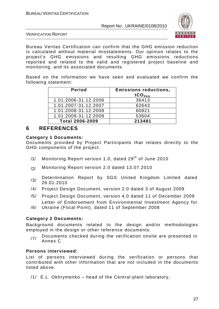

VERIFICATION REPORT

Bureau Veritas Certification can confirm that the GHG emission reduction is calculated without material misstatements. Our opinion relates to the project's GHG emissions and resulting GHG emissions reductions reported and related to the valid and registered project baseline and monitoring, and its associated documents.

Based on the information we have seen and evaluated we confirm the following statement:

| <b>Period</b>          | <b>Emissions reductions,</b><br>tCO <sub>2ea</sub> |
|------------------------|----------------------------------------------------|
| 1.01.2006-31.12.2006   | 36413                                              |
| 1.01.2007-31.12.2007   | 62643                                              |
| 1.01.2008-31.12.2008   | 60821                                              |
| 1.01.2009-31.12.2009   | 53604                                              |
| <b>Total 2006-2009</b> | 213481                                             |

#### **6 REFERENCES**

#### **Category 1 Documents:**

Documents provided by Project Participants that relates directly to the GHG components of the project.

- /1/ Monitoring Report version 1.0, dated 29<sup>th</sup> of June 2010
- /2/ Monitoring Report version 2.0 dated 13.07.2010
- /3/ Determination Report by SGS United Kingdom Limited dated 26.01.2010
- /4/ Project Design Document, version 2.0 dated 3 of August 2009
- /5/ Project Design Document, version 4.0 dated 11 of December 2009 Letter of Endorsement from Environmental Investment Agency for
- /6/ Ukraine (Focal Point), dated 11 of September 2008

#### **Category 2 Documents:**

Background documents related to the design and/or methodologies employed in the design or other reference documents.

 $_{171}$  Documents checked during the verification onsite are presented in Annex C

#### **Persons interviewed:**

List of persons interviewed during the verification or persons that contributed with other information that are not included in the documents listed above.

/1/ E.L. Okhrymenko – head of the Central plant laboratory,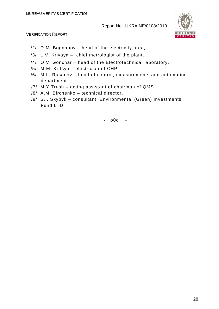

VERIFICATION REPORT

- /2/ D.M. Bogdanov head of the electricity area,
- /3/ L.V. Krivaya chief metrologist of the plant,
- /4/ O.V. Gonchar head of the Electrotechnical laboratory,
- /5/ M.M. Kritsyn electrician of CHP,
- /6/ M.L. Rusanov head of control, measurements and automation department
- /7/ M.Y.Trush acting assistant of chairman of QMS
- /8/ A.M. Birchenko technical director,
- /9/ S.I. Skybyk consultant, Environmental (Green) Investments Fund LTD

- o0o -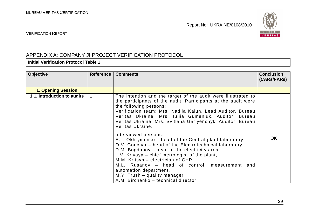

VERIFICATION REPORT

### APPENDIX A: COMPANY JI PROJECT VERIFICATION PROTOCOL

**Initial Verification Protocol Table 1** 

| <b>Objective</b>            | <b>Reference</b> | <b>Comments</b>                                                                                                                                                                                                                                                                                                                                                                                                                              | <b>Conclusion</b><br>(CARS/FARS) |
|-----------------------------|------------------|----------------------------------------------------------------------------------------------------------------------------------------------------------------------------------------------------------------------------------------------------------------------------------------------------------------------------------------------------------------------------------------------------------------------------------------------|----------------------------------|
| <b>1. Opening Session</b>   |                  |                                                                                                                                                                                                                                                                                                                                                                                                                                              |                                  |
| 1.1. Introduction to audits |                  | The intention and the target of the audit were illustrated to<br>the participants of the audit. Participants at the audit were<br>the following persons:<br>Verification team: Mrs. Nadiia Kaiun, Lead Auditor, Bureau<br>Veritas Ukraine, Mrs. Iuliia Gumeniuk, Auditor, Bureau<br>Veritas Ukraine, Mrs. Svitlana Gariyenchyk, Auditor, Bureau<br>Veritas Ukraine.                                                                          |                                  |
|                             |                  | Interviewed persons:<br>E.L. Okhrymenko – head of the Central plant laboratory,<br>O.V. Gonchar – head of the Electrotechnical laboratory,<br>D.M. Bogdanov – head of the electricity area,<br>L.V. Krivaya – chief metrologist of the plant,<br>M.M. Kritsyn - electrician of CHP,<br>M.L. Rusanov – head of control, measurement<br>and<br>automation department,<br>M.Y. Trush - quality manager,<br>A.M. Birchenko - technical director. | <b>OK</b>                        |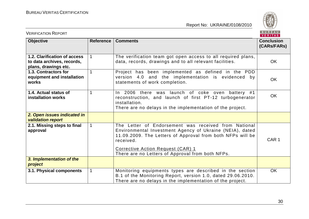

| <b>VERIFICATION REPORT</b>                                                         |              |                                                                                                                                                                                                                                                                                      | BUREAU<br><b>VERITAS</b>         |
|------------------------------------------------------------------------------------|--------------|--------------------------------------------------------------------------------------------------------------------------------------------------------------------------------------------------------------------------------------------------------------------------------------|----------------------------------|
| <b>Objective</b>                                                                   | Reference    | <b>Comments</b>                                                                                                                                                                                                                                                                      | <b>Conclusion</b><br>(CARs/FARs) |
| 1.2. Clarification of access<br>to data archives, records,<br>plans, drawings etc. |              | The verification team got open access to all required plans,<br>data, records, drawings and to all relevant facilities.                                                                                                                                                              | <b>OK</b>                        |
| 1.3. Contractors for<br>equipment and installation<br>works                        |              | Project has been implemented as defined in the PDD<br>version 4.0 and the implementation is evidenced by<br>statements of work completion.                                                                                                                                           | <b>OK</b>                        |
| 1.4. Actual status of<br><b>installation works</b>                                 | 1            | In 2006 there was launch of coke oven battery #1<br>reconstruction, and launch of first PT-12 turbogenerator<br>installation.<br>There are no delays in the implementation of the project.                                                                                           | <b>OK</b>                        |
| 2. Open issues indicated in<br><b>validation report</b>                            |              |                                                                                                                                                                                                                                                                                      |                                  |
| 2.1. Missing steps to final<br>approval                                            | $\mathbf{1}$ | The Letter of Endorsement was received from National<br>Environmental Investment Agency of Ukraine (NEIA), dated<br>11.09.2009. The Letters of Approval from both NFPs will be<br>received.<br>Corrective Action Request (CAR) 1<br>There are no Letters of Approval from both NFPs. | CAR <sub>1</sub>                 |
| 3. Implementation of the<br>project                                                |              |                                                                                                                                                                                                                                                                                      |                                  |
| 3.1. Physical components                                                           | $\mathbf 1$  | Monitoring equipments types are described in the section<br>B.1 of the Monitoring Report, version 1.0, dated 29.06.2010.<br>There are no delays in the implementation of the project.                                                                                                | <b>OK</b>                        |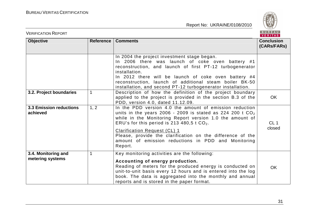

| <b>VERIFICATION REPORT</b>                 |             |                                                                                                                                                                                                                                                                                                                                                                                                           | BUREAU<br>VERITAS                |
|--------------------------------------------|-------------|-----------------------------------------------------------------------------------------------------------------------------------------------------------------------------------------------------------------------------------------------------------------------------------------------------------------------------------------------------------------------------------------------------------|----------------------------------|
| <b>Objective</b>                           | Reference   | <b>Comments</b>                                                                                                                                                                                                                                                                                                                                                                                           | <b>Conclusion</b><br>(CARs/FARs) |
|                                            |             | In 2004 the project investment stage began.<br>In 2006 there was launch of coke oven battery #1<br>reconstruction, and launch of first PT-12 turbogenerator<br>installation.<br>In 2012 there will be launch of coke oven battery #4<br>reconstruction, launch of additional steam boiler BK-50<br>installation, and second PT-12 turbogenerator installation.                                            |                                  |
| 3.2. Project boundaries                    |             | Description of how the definition of the project boundary<br>applied to the project is provided in the section B.3 of the<br>PDD, version 4.0, dated 11.12.09.                                                                                                                                                                                                                                            | <b>OK</b>                        |
| <b>3.3 Emission reductions</b><br>achieved | 1, 2        | In the PDD version 4.0 the amount of emission reduction<br>units in the years 2006 - 2009 is stated as 224 200 t $CO2$<br>while in the Monitoring Report version 1.0 the amount of<br>ERU's for this period is 213 480,5 t $CO2$ .<br><b>Clarification Request (CL) 1</b><br>Please, provide the clarification on the difference of the<br>amount of emission reductions in PDD and Monitoring<br>Report. | CL <sub>1</sub><br>closed        |
| 3.4. Monitoring and<br>metering systems    | $\mathbf 1$ | Key monitoring activities are the following:<br>Accounting of energy production.<br>Reading of meters for the produced energy is conducted on<br>unit-to-unit basis every 12 hours and is entered into the log<br>book. The data is aggregated into the monthly and annual<br>reports and is stored in the paper format.                                                                                  | OK                               |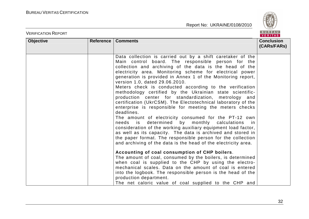

| <b>VERIFICATION REPORT</b> |           |                                                                                                                                                                                                                                                                                                                                                                                                                                                                                                                                                                                                                                                                                                                                                                                                                                                                                                                                                                                                                                                                                                                                                                                                                                                                                                                                                                                                                                                     | BUREAU<br><b>VERITAS</b>         |
|----------------------------|-----------|-----------------------------------------------------------------------------------------------------------------------------------------------------------------------------------------------------------------------------------------------------------------------------------------------------------------------------------------------------------------------------------------------------------------------------------------------------------------------------------------------------------------------------------------------------------------------------------------------------------------------------------------------------------------------------------------------------------------------------------------------------------------------------------------------------------------------------------------------------------------------------------------------------------------------------------------------------------------------------------------------------------------------------------------------------------------------------------------------------------------------------------------------------------------------------------------------------------------------------------------------------------------------------------------------------------------------------------------------------------------------------------------------------------------------------------------------------|----------------------------------|
| <b>Objective</b>           | Reference | <b>Comments</b>                                                                                                                                                                                                                                                                                                                                                                                                                                                                                                                                                                                                                                                                                                                                                                                                                                                                                                                                                                                                                                                                                                                                                                                                                                                                                                                                                                                                                                     | <b>Conclusion</b><br>(CARs/FARs) |
|                            |           | Data collection is carried out by a shift caretaker of the<br>Main control board. The responsible person for the<br>collection and archiving of the data is the head of the<br>electricity area. Monitoring scheme for electrical power<br>generation is provided in Annex 1 of the Monitoring report,<br>version 1.0, dated 29.06.2010.<br>Meters check is conducted according to the verification<br>methodology certified by the Ukrainian state scientific-<br>production center for standardization, metrology and<br>certification (UkrCSM). The Electotechnical laboratory of the<br>enterprise is responsible for meeting the meters checks<br>deadlines.<br>The amount of electricity consumed for the PT-12 own<br>determined<br>by<br>monthly calculations<br>needs<br>is<br>in<br>consideration of the working auxiliary equipment load factor,<br>as well as its capacity. The data is archived and stored in<br>the paper format. The responsible person for the collection<br>and archiving of the data is the head of the electricity area.<br>Accounting of coal consumption of CHP boilers.<br>The amount of coal, consumed by the boilers, is determined<br>when coal is supplied to the CHP by using the electro-<br>mechanical scales. Data on the amount of coal is entered<br>into the logbook. The responsible person is the head of the<br>production department.<br>The net caloric value of coal supplied to the CHP and |                                  |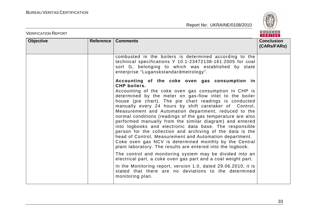

| <b>VERIFICATION REPORT</b> |                  |                                                                                                                                                                                                                                                                                                                                                                                                                                                                                                                                                                                                                                                                                                                                                                                                                                                                                                                                                                                                                                                                                     | BUREAU<br><b>VERITAS</b>         |
|----------------------------|------------------|-------------------------------------------------------------------------------------------------------------------------------------------------------------------------------------------------------------------------------------------------------------------------------------------------------------------------------------------------------------------------------------------------------------------------------------------------------------------------------------------------------------------------------------------------------------------------------------------------------------------------------------------------------------------------------------------------------------------------------------------------------------------------------------------------------------------------------------------------------------------------------------------------------------------------------------------------------------------------------------------------------------------------------------------------------------------------------------|----------------------------------|
| <b>Objective</b>           | <b>Reference</b> | <b>Comments</b>                                                                                                                                                                                                                                                                                                                                                                                                                                                                                                                                                                                                                                                                                                                                                                                                                                                                                                                                                                                                                                                                     | <b>Conclusion</b><br>(CARs/FARs) |
|                            |                  | combusted in the boilers is determined according to the<br>technical specifications Y 10.1-23472138-161:2005 for coal<br>sort G, belonging to which was established by state<br>enterprise "Luganskstandardmetrology".                                                                                                                                                                                                                                                                                                                                                                                                                                                                                                                                                                                                                                                                                                                                                                                                                                                              |                                  |
|                            |                  | Accounting of the coke oven gas consumption in<br>CHP boilers.<br>Accounting of the coke oven gas consumption in CHP is<br>determined by the meter on gas-flow inlet to the boiler<br>house (pie chart). The pie chart readings is conducted<br>manually every 24 hours by shift caretaker of Control,<br>Measurement and Automation department, reduced to the<br>normal conditions (readings of the gas temperature are also<br>performed manually from the similar diagram) and entered<br>into logbooks and electronic data base. The responsible<br>person for the collection and archiving of the data is the<br>head of Control, Measurement and Automation department.<br>Coke oven gas NCV is determined monthly by the Central<br>plant laboratory. The results are entered into the logbook.<br>The control and monitoring system may be divided into an<br>electrical part, a coke oven gas part and a coal weight part.<br>In the Monitoring report, version 1.0, dated 29.06.2010, it is<br>stated that there are no deviations to the determined<br>monitoring plan. |                                  |
|                            |                  |                                                                                                                                                                                                                                                                                                                                                                                                                                                                                                                                                                                                                                                                                                                                                                                                                                                                                                                                                                                                                                                                                     |                                  |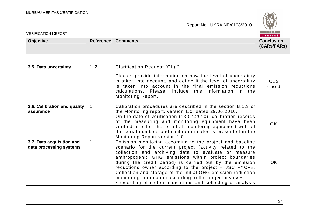

| <b>VERIFICATION REPORT</b>                           | BUREAU<br><b>VERITAS</b> |                                                                                                                                                                                                                                                                                                                                                                                                                                                                                                                                                            |                                  |  |
|------------------------------------------------------|--------------------------|------------------------------------------------------------------------------------------------------------------------------------------------------------------------------------------------------------------------------------------------------------------------------------------------------------------------------------------------------------------------------------------------------------------------------------------------------------------------------------------------------------------------------------------------------------|----------------------------------|--|
| <b>Objective</b>                                     | Reference                | <b>Comments</b>                                                                                                                                                                                                                                                                                                                                                                                                                                                                                                                                            | <b>Conclusion</b><br>(CARs/FARs) |  |
|                                                      |                          |                                                                                                                                                                                                                                                                                                                                                                                                                                                                                                                                                            |                                  |  |
| 3.5. Data uncertainty                                | 1, 2                     | <b>Clarification Request (CL) 2</b><br>Please, provide information on how the level of uncertainty<br>is taken into account, and define if the level of uncertainty<br>is taken into account in the final emission reductions<br>calculations. Please, include this information in the<br><b>Monitoring Report.</b>                                                                                                                                                                                                                                        | CL2<br>closed                    |  |
| 3.6. Calibration and quality<br>assurance            |                          | Calibration procedures are described in the section B.1.3 of<br>the Monitoring report, version 1.0, dated 29.06.2010.<br>On the date of verification (13.07.2010), calibration records<br>of the measuring and monitoring equipment have been<br>verified on site. The list of all monitoring equipment with all<br>the serial numbers and calibration dates is presented in the<br>Monitoring Report version 1.0.                                                                                                                                         | <b>OK</b>                        |  |
| 3.7. Data acquisition and<br>data processing systems | $\mathbf{1}$             | Emission monitoring according to the project and baseline<br>scenario for the current project (activity related to the<br>collection and archiving data to evaluate or measure<br>anthropogenic GHG emissions within project boundaries<br>during the credit period) is carried out by the emission<br>reductions owner according to the project - JSC «YCP».<br>Collection and storage of the initial GHG emission reduction<br>monitoring information according to the project involves:<br>• recording of meters indications and collecting of analysis | <b>OK</b>                        |  |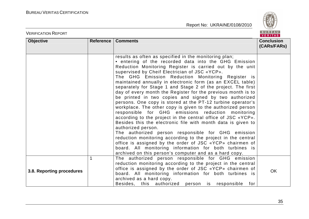

| <b>VERIFICATION REPORT</b> |           |                                                                                                                                                                                                                                                                                                                                                                                                                                                                                                                                                                                                                                                                                                                                                                                                                                                                                                                                                                                                                                                                                                                                                                                         | BUREAU<br><b>VERITAS</b>         |
|----------------------------|-----------|-----------------------------------------------------------------------------------------------------------------------------------------------------------------------------------------------------------------------------------------------------------------------------------------------------------------------------------------------------------------------------------------------------------------------------------------------------------------------------------------------------------------------------------------------------------------------------------------------------------------------------------------------------------------------------------------------------------------------------------------------------------------------------------------------------------------------------------------------------------------------------------------------------------------------------------------------------------------------------------------------------------------------------------------------------------------------------------------------------------------------------------------------------------------------------------------|----------------------------------|
| <b>Objective</b>           | Reference | <b>Comments</b>                                                                                                                                                                                                                                                                                                                                                                                                                                                                                                                                                                                                                                                                                                                                                                                                                                                                                                                                                                                                                                                                                                                                                                         | <b>Conclusion</b><br>(CARs/FARs) |
|                            |           | results as often as specified in the monitoring plan;<br>• entering of the recorded data into the GHG Emission<br>Reduction Monitoring Register is carried out by the unit<br>supervised by Cheif Electrician of JSC «YCP».<br>The GHG Emission Reduction Monitoring Register is<br>maintained annually in electronic form (as an EXCEL table)<br>separately for Stage 1 and Stage 2 of the project. The first<br>day of every month the Register for the previous month is to<br>be printed in two copies and signed by two authorized<br>persons. One copy is stored at the PT-12 turbine operator's<br>workplace. The other copy is given to the authorized person<br>responsible for GHG emissions reduction monitoring<br>according to the project in the central office of JSC «YCP».<br>Besides this the electronic file with month data is given to<br>authorized person.<br>The authorized person responsible for GHG emission<br>reduction monitoring according to the project in the central<br>office is assigned by the order of JSC «YCP» chairmen of<br>board. All monitoring information for both turbines is<br>archived on this person's computer and as a hard copy. |                                  |
| 3.8. Reporting procedures  | 1         | The authorized person responsible for GHG emission<br>reduction monitoring according to the project in the central<br>office is assigned by the order of JSC «YCP» chairmen of<br>board. All monitoring information for both turbines is<br>archived as a hard copy.<br>Besides, this authorized person is responsible<br>for                                                                                                                                                                                                                                                                                                                                                                                                                                                                                                                                                                                                                                                                                                                                                                                                                                                           | <b>OK</b>                        |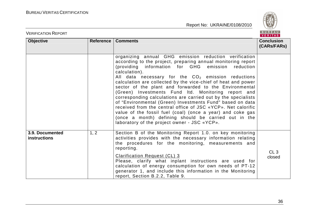

| <b>VERIFICATION REPORT</b>      |           |                                                                                                                                                                                                                                                                                                                                                                                                                                                                                                                                                                                                                                                                                                                                                                                                              | BUREAU<br><b>VERITAS</b>         |
|---------------------------------|-----------|--------------------------------------------------------------------------------------------------------------------------------------------------------------------------------------------------------------------------------------------------------------------------------------------------------------------------------------------------------------------------------------------------------------------------------------------------------------------------------------------------------------------------------------------------------------------------------------------------------------------------------------------------------------------------------------------------------------------------------------------------------------------------------------------------------------|----------------------------------|
| <b>Objective</b>                | Reference | <b>Comments</b>                                                                                                                                                                                                                                                                                                                                                                                                                                                                                                                                                                                                                                                                                                                                                                                              | <b>Conclusion</b><br>(CARs/FARs) |
|                                 |           | organizing annual GHG emission reduction verification<br>according to the project, preparing annual monitoring report<br>(providing information for GHG emission<br>reduction<br>calculation).<br>All data necessary for the $CO2$ emission reductions<br>calculation are collected by the vice-chief of heat and power<br>sector of the plant and forwarded to the Environmental<br>(Green) Investments Fund Itd. Monitoring report and<br>corresponding calculations are carried out by the specialists<br>of "Environmental (Green) Investments Fund" based on data<br>received from the central office of JSC «YCP». Net calorific<br>value of the fossil fuel (coal) (once a year) and coke gas<br>(once a month) defining should be carried out in the<br>laboratory of the project owner - JSC «YCP». |                                  |
| 3.9. Documented<br>instructions | 1, 2      | Section B of the Monitoring Report 1.0. on key monitoring<br>activities provides with the necessary information relating<br>the procedures for the monitoring, measurements and<br>reporting.<br>Clarification Request (CL) 3<br>Please, clarify what inplant instructions are used for<br>calculation of energy consumption for own needs of PT-12<br>generator 1, and include this information in the Monitoring<br>report, Section B.2.2, Table 9.                                                                                                                                                                                                                                                                                                                                                        | CL3<br>closed                    |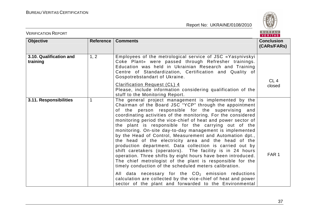

| <b>VERIFICATION REPORT</b>          |           |                                                                                                                                                                                                                                                                                                                                                                                                                                                                                                                                                                                                                                                                                                                                                                                                                                                               | BUREAU<br><b>VERITAS</b>         |
|-------------------------------------|-----------|---------------------------------------------------------------------------------------------------------------------------------------------------------------------------------------------------------------------------------------------------------------------------------------------------------------------------------------------------------------------------------------------------------------------------------------------------------------------------------------------------------------------------------------------------------------------------------------------------------------------------------------------------------------------------------------------------------------------------------------------------------------------------------------------------------------------------------------------------------------|----------------------------------|
| <b>Objective</b>                    | Reference | <b>Comments</b>                                                                                                                                                                                                                                                                                                                                                                                                                                                                                                                                                                                                                                                                                                                                                                                                                                               | <b>Conclusion</b><br>(CARs/FARs) |
| 3.10. Qualification and<br>training | 1, 2      | Employees of the metrological service of JSC «Yasynivskyi<br>Coke Plant» were passed through Refresher trainings.<br>Education was held in Ukrainian Research and Training<br>Centre of Standardization, Certification and Quality of<br>Gospotrebstandart of Ukraine.                                                                                                                                                                                                                                                                                                                                                                                                                                                                                                                                                                                        | CL <sub>4</sub>                  |
|                                     |           | Clarification Request (CL) 4<br>Please, include information considering qualification of the<br>stuff to the Monitoring Report.                                                                                                                                                                                                                                                                                                                                                                                                                                                                                                                                                                                                                                                                                                                               | closed                           |
| 3.11. Responsibilities              | 1         | The general project management is implemented by the<br>Chairman of the Board JSC "YCP" through the appointment<br>of the person responsible for the supervising and<br>coordinating activities of the monitoring. For the considered<br>monitoring period the vice-chief of heat and power sector of<br>the plant is responsible for the carrying out of the<br>monitoring. On-site day-to-day management is implemented<br>by the Head of Control, Measurement and Automation dpt.,<br>the head of the electricity area and the head of the<br>production department. Data collection is carried out by<br>shift caretakers (operators). The facility is in 24 hours<br>operation. Three shifts by eight hours have been introduced.<br>The chief metrologist of the plant is responsible for the<br>timely conduction of the scheduled meters calibration. | FAR <sub>1</sub>                 |
|                                     |           | All data necessary for the $CO2$ emission reductions<br>calculation are collected by the vice-chief of heat and power<br>sector of the plant and forwarded to the Environmental                                                                                                                                                                                                                                                                                                                                                                                                                                                                                                                                                                                                                                                                               |                                  |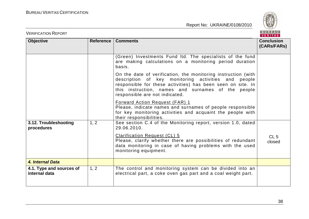

| <b>VERIFICATION REPORT</b>                |           |                                                                                                                                                                                                                                                                             | <b>BUREAU</b><br>VERITAS         |
|-------------------------------------------|-----------|-----------------------------------------------------------------------------------------------------------------------------------------------------------------------------------------------------------------------------------------------------------------------------|----------------------------------|
| <b>Objective</b>                          | Reference | <b>Comments</b>                                                                                                                                                                                                                                                             | <b>Conclusion</b><br>(CARs/FARs) |
|                                           |           | (Green) Investments Fund Itd. The specialists of the fund<br>are making calculations on a monitoring period duration<br>basis.                                                                                                                                              |                                  |
|                                           |           | On the date of verification, the monitoring instruction (with<br>description of key monitoring activities and people<br>responsible for these activities) has been seen on site. In<br>this instruction, names and surnames of the people<br>responsible are not indicated. |                                  |
|                                           |           | <b>Forward Action Request (FAR) 1</b><br>Please, indicate names and surnames of people responsible<br>for key monitoring activities and acquaint the people with<br>their responsibilities.                                                                                 |                                  |
| 3.12. Troubleshooting<br>procedures       | 1, 2      | See section C.4 of the Monitoring report, version 1.0, dated<br>29.06.2010.<br>Clarification Request (CL) 5<br>Please, clarify whether there are possibilities of redundant<br>data monitoring in case of having problems with the used<br>monitoring equipment.            | CL <sub>5</sub><br>closed        |
| 4. Internal Data                          |           |                                                                                                                                                                                                                                                                             |                                  |
| 4.1. Type and sources of<br>internal data | 1, 2      | The control and monitoring system can be divided into an<br>electrical part, a coke oven gas part and a coal weight part.                                                                                                                                                   |                                  |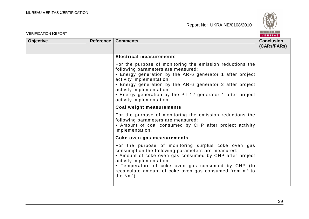

| <b>VERIFICATION REPORT</b> |                  |                                                                                                                                                                                                                                                                                                                                                                             | BUREAU<br><b>VERITAS</b>         |
|----------------------------|------------------|-----------------------------------------------------------------------------------------------------------------------------------------------------------------------------------------------------------------------------------------------------------------------------------------------------------------------------------------------------------------------------|----------------------------------|
| <b>Objective</b>           | <b>Reference</b> | <b>Comments</b>                                                                                                                                                                                                                                                                                                                                                             | <b>Conclusion</b><br>(CARs/FARs) |
|                            |                  | <b>Electrical measurements</b>                                                                                                                                                                                                                                                                                                                                              |                                  |
|                            |                  | For the purpose of monitoring the emission reductions the<br>following parameters are measured:<br>• Energy generation by the AR-6 generator 1 after project<br>activity implementation;<br>• Energy generation by the AR-6 generator 2 after project<br>activity implementation;<br>• Energy generation by the PT-12 generator 1 after project<br>activity implementation. |                                  |
|                            |                  | Coal weight measurements                                                                                                                                                                                                                                                                                                                                                    |                                  |
|                            |                  | For the purpose of monitoring the emission reductions the<br>following parameters are measured:<br>• Amount of coal consumed by CHP after project activity<br>implementation.                                                                                                                                                                                               |                                  |
|                            |                  | Coke oven gas measurements                                                                                                                                                                                                                                                                                                                                                  |                                  |
|                            |                  | For the purpose of monitoring surplus coke oven gas<br>consumption the following parameters are measured:<br>• Amount of coke oven gas consumed by CHP after project<br>activity implementation;<br>• Temperature of coke oven gas consumed by CHP (to<br>recalculate amount of coke oven gas consumed from m <sup>3</sup> to<br>the $Nm^3$ ).                              |                                  |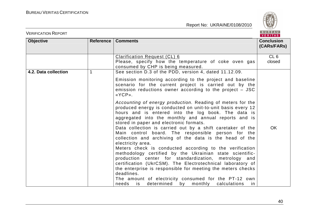

| <b>Objective</b><br><b>Comments</b><br>Reference<br>CL6<br><b>Clarification Request (CL) 6</b><br>Please, specify how the temperature of coke oven gas<br>closed<br>consumed by CHP is being measured.<br>See section D.3 of the PDD, version 4, dated 11.12.09.<br>4.2. Data collection<br>$\mathbf 1$<br>Emission monitoring according to the project and baseline<br>scenario for the current project is carried out by the<br>emission reductions owner according to the project $-$ JSC<br>«YCP».<br>Accounting of energy production. Reading of meters for the<br>produced energy is conducted on unit-to-unit basis every 12<br>hours and is entered into the log book. The data is<br>aggregated into the monthly and annual reports and is<br>stored in paper and electronic formats.<br>Data collection is carried out by a shift caretaker of the<br><b>OK</b><br>Main control board. The responsible person for the<br>collection and archiving of the data is the head of the<br>electricity area.<br>Meters check is conducted according to the verification<br>methodology certified by the Ukrainian state scientific- | <b>VERIFICATION REPORT</b> |                                                      | BUREAU<br>VERITAS                |
|----------------------------------------------------------------------------------------------------------------------------------------------------------------------------------------------------------------------------------------------------------------------------------------------------------------------------------------------------------------------------------------------------------------------------------------------------------------------------------------------------------------------------------------------------------------------------------------------------------------------------------------------------------------------------------------------------------------------------------------------------------------------------------------------------------------------------------------------------------------------------------------------------------------------------------------------------------------------------------------------------------------------------------------------------------------------------------------------------------------------------------------|----------------------------|------------------------------------------------------|----------------------------------|
|                                                                                                                                                                                                                                                                                                                                                                                                                                                                                                                                                                                                                                                                                                                                                                                                                                                                                                                                                                                                                                                                                                                                        |                            |                                                      | <b>Conclusion</b><br>(CARs/FARs) |
|                                                                                                                                                                                                                                                                                                                                                                                                                                                                                                                                                                                                                                                                                                                                                                                                                                                                                                                                                                                                                                                                                                                                        |                            |                                                      |                                  |
|                                                                                                                                                                                                                                                                                                                                                                                                                                                                                                                                                                                                                                                                                                                                                                                                                                                                                                                                                                                                                                                                                                                                        |                            |                                                      |                                  |
| certification (UkrCSM). The Electrotechnical laboratory of<br>the enterprise is responsible for meeting the meters checks<br>deadlines.<br>The amount of electricity consumed for the PT-12 own<br>determined by monthly<br>needs<br>is<br>calculations<br>in                                                                                                                                                                                                                                                                                                                                                                                                                                                                                                                                                                                                                                                                                                                                                                                                                                                                          |                            | production center for standardization, metrology and |                                  |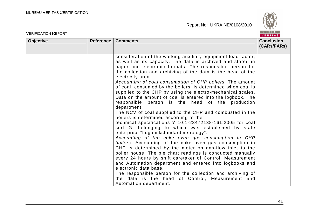

| <b>VERIFICATION REPORT</b> |                  |                                                                                                                                                                                                                                                                                                                                                                                                                                                                                                                                                                                                                                                                                                                                                                                                                                                                                                                                                                                                                                                                                                                                                                                                                                                                                                                                                                                                                        | BUREAU<br>VERITAS                |
|----------------------------|------------------|------------------------------------------------------------------------------------------------------------------------------------------------------------------------------------------------------------------------------------------------------------------------------------------------------------------------------------------------------------------------------------------------------------------------------------------------------------------------------------------------------------------------------------------------------------------------------------------------------------------------------------------------------------------------------------------------------------------------------------------------------------------------------------------------------------------------------------------------------------------------------------------------------------------------------------------------------------------------------------------------------------------------------------------------------------------------------------------------------------------------------------------------------------------------------------------------------------------------------------------------------------------------------------------------------------------------------------------------------------------------------------------------------------------------|----------------------------------|
| <b>Objective</b>           | <b>Reference</b> | <b>Comments</b>                                                                                                                                                                                                                                                                                                                                                                                                                                                                                                                                                                                                                                                                                                                                                                                                                                                                                                                                                                                                                                                                                                                                                                                                                                                                                                                                                                                                        | <b>Conclusion</b><br>(CARs/FARs) |
|                            |                  | consideration of the working auxiliary equipment load factor,<br>as well as its capacity. The data is archived and stored in<br>paper and electronic formats. The responsible person for<br>the collection and archiving of the data is the head of the<br>electricity area.<br>Accounting of coal consumption of CHP boilers. The amount<br>of coal, consumed by the boilers, is determined when coal is<br>supplied to the CHP by using the electro-mechanical scales.<br>Data on the amount of coal is entered into the logbook. The<br>responsible person is the head of the production<br>department.<br>The NCV of coal supplied to the CHP and combusted in the<br>boilers is determined according to the<br>technical specifications Y 10.1-23472138-161:2005 for coal<br>sort G, belonging to which was established by state<br>enterprise "Luganskstandardmetrology".<br>Accounting of the coke oven gas consumption in CHP<br>boilers. Accounting of the coke oven gas consumption in<br>CHP is determined by the meter on gas-flow inlet to the<br>boiler house. The pie chart readings is conducted manually<br>every 24 hours by shift caretaker of Control, Measurement<br>and Automation department and entered into logbooks and<br>electronic data base.<br>The responsible person for the collection and archiving of<br>the data is the head of Control, Measurement and<br>Automation department. |                                  |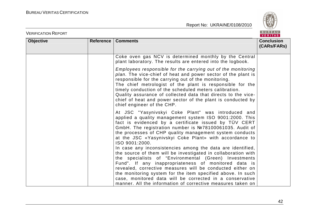

| <b>VERIFICATION REPORT</b> |           |                                                                                                                                                                                                                                                                                                                                                                                                                                                                           | BUREAU<br><b>VERITAS</b>         |
|----------------------------|-----------|---------------------------------------------------------------------------------------------------------------------------------------------------------------------------------------------------------------------------------------------------------------------------------------------------------------------------------------------------------------------------------------------------------------------------------------------------------------------------|----------------------------------|
| <b>Objective</b>           | Reference | <b>Comments</b>                                                                                                                                                                                                                                                                                                                                                                                                                                                           | <b>Conclusion</b><br>(CARs/FARs) |
|                            |           | Coke oven gas NCV is determined monthly by the Central<br>plant laboratory. The results are entered into the logbook.                                                                                                                                                                                                                                                                                                                                                     |                                  |
|                            |           | Employees responsible for the carrying out of the monitoring<br>plan. The vice-chief of heat and power sector of the plant is<br>responsible for the carrying out of the monitoring.<br>The chief metrologist of the plant is responsible for the<br>timely conduction of the scheduled meters calibration.<br>Quality assurance of collected data that directs to the vice-<br>chief of heat and power sector of the plant is conducted by<br>chief engineer of the CHP. |                                  |
|                            |           | At JSC "Yasynivskyi Coke Plant" was introduced and<br>applied a quality management system ISO 9001:2000. This<br>fact is evidenced by a certificate issued by TÜV CERT<br>GmbH. The registration number is №78100061035. Audit of<br>the processes of CHP quality management system conducts<br>at the JSC «Yasynivskyi Coke Plant» with accordance to<br>ISO 9001:2000.                                                                                                  |                                  |
|                            |           | In case any inconsistencies among the data are identified,<br>the source of them will be investigated in collaboration with<br>the specialists of "Environmental (Green) Investments<br>Fund". If any inappropriateness of monitored data is                                                                                                                                                                                                                              |                                  |
|                            |           | revealed, corrective measures will be conducted either on<br>the monitoring system for the item specified above. In such<br>case, monitored data will be corrected in a conservative<br>manner. All the information of corrective measures taken on                                                                                                                                                                                                                       |                                  |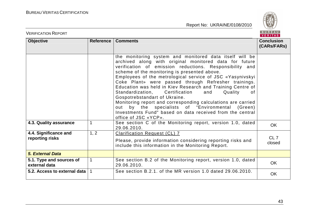

| <b>VERIFICATION REPORT</b>                |             |                                                                                                                                                                                                                                                                                                                                                                                                                                                                                                                                                                                                                                                                                                                        | BUREAU<br><b>VERITAS</b>         |
|-------------------------------------------|-------------|------------------------------------------------------------------------------------------------------------------------------------------------------------------------------------------------------------------------------------------------------------------------------------------------------------------------------------------------------------------------------------------------------------------------------------------------------------------------------------------------------------------------------------------------------------------------------------------------------------------------------------------------------------------------------------------------------------------------|----------------------------------|
| <b>Objective</b>                          | Reference   | <b>Comments</b>                                                                                                                                                                                                                                                                                                                                                                                                                                                                                                                                                                                                                                                                                                        | <b>Conclusion</b><br>(CARs/FARs) |
|                                           |             | the monitoring system and monitored data itself will be<br>archived along with original monitored data for future<br>verification of emission reductions. Responsibility and<br>scheme of the monitoring is presented above.<br>Employees of the metrological service of JSC «Yasynivskyi<br>Coke Plant» were passed through Refresher trainings.<br>Education was held in Kiev Research and Training Centre of<br>Standardization,<br>Certification<br>and<br>Quality<br>0f<br>Gospotrebstandart of Ukraine.<br>Monitoring report and corresponding calculations are carried<br>out by the specialists of "Environmental (Green)<br>Investments Fund" based on data received from the central<br>office of JSC «YCP». |                                  |
| 4.3. Quality assurance                    | 1           | See section C of the Monitoring report, version 1.0, dated<br>29.06.2010.                                                                                                                                                                                                                                                                                                                                                                                                                                                                                                                                                                                                                                              | <b>OK</b>                        |
| 4.4. Significance and<br>reporting risks  | 1, 2        | <b>Clarification Request (CL) 7</b><br>Please, provide information considering reporting risks and<br>include this information in the Monitoring Report.                                                                                                                                                                                                                                                                                                                                                                                                                                                                                                                                                               | CL <sub>7</sub><br>closed        |
| <b>5. External Data</b>                   |             |                                                                                                                                                                                                                                                                                                                                                                                                                                                                                                                                                                                                                                                                                                                        |                                  |
| 5.1. Type and sources of<br>external data | $\mathbf 1$ | See section B.2 of the Monitoring report, version 1.0, dated<br>29.06.2010.                                                                                                                                                                                                                                                                                                                                                                                                                                                                                                                                                                                                                                            | <b>OK</b>                        |
| 5.2. Access to external data              | $\mathbf 1$ | See section B.2.1. of the MR version 1.0 dated 29.06.2010.                                                                                                                                                                                                                                                                                                                                                                                                                                                                                                                                                                                                                                                             | <b>OK</b>                        |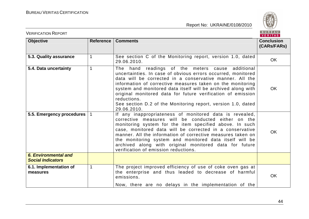

| <b>VERIFICATION REPORT</b>                       |             |                                                                                                                                                                                                                                                                                                                                                                                                                                                                         | BUREAU<br><b>VERITAS</b>         |
|--------------------------------------------------|-------------|-------------------------------------------------------------------------------------------------------------------------------------------------------------------------------------------------------------------------------------------------------------------------------------------------------------------------------------------------------------------------------------------------------------------------------------------------------------------------|----------------------------------|
| <b>Objective</b>                                 | Reference   | <b>Comments</b>                                                                                                                                                                                                                                                                                                                                                                                                                                                         | <b>Conclusion</b><br>(CARs/FARs) |
| 5.3. Quality assurance                           | 1           | See section C of the Monitoring report, version 1.0, dated<br>29.06.2010.                                                                                                                                                                                                                                                                                                                                                                                               | <b>OK</b>                        |
| 5.4. Data uncertainty                            | 1           | The hand readings of the meters cause additional<br>uncertainties. In case of obvious errors occurred, monitored<br>data will be corrected in a conservative manner. All the<br>information of corrective measures taken on the monitoring<br>system and monitored data itself will be archived along with<br>original monitored data for future verification of emission<br>reductions.<br>See section D.2 of the Monitoring report, version 1.0, dated<br>29.06.2010. | <b>OK</b>                        |
| 5.5. Emergency procedures                        |             | If any inappropriateness of monitored data is revealed,<br>corrective measures will be conducted either on the<br>monitoring system for the item specified above. In such<br>case, monitored data will be corrected in a conservative<br>manner. All the information of corrective measures taken on<br>the monitoring system and monitored data itself will be<br>archived along with original monitored data for future<br>verification of emission reductions.       | <b>OK</b>                        |
| 6. Environmental and<br><b>Social Indicators</b> |             |                                                                                                                                                                                                                                                                                                                                                                                                                                                                         |                                  |
| 6.1. Implementation of<br>measures               | $\mathbf 1$ | The project improved efficiency of use of coke oven gas at<br>the enterprise and thus leaded to decrease of harmful<br>emissions.<br>Now, there are no delays in the implementation of the                                                                                                                                                                                                                                                                              | OK                               |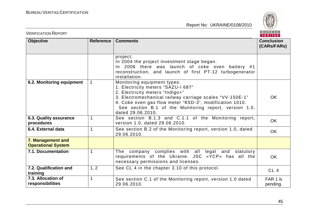

| <b>VERIFICATION REPORT</b>                     |                  |                                                                                                                                                                                                                                                                                                            | BUREAU<br><b>VERITAS</b>         |
|------------------------------------------------|------------------|------------------------------------------------------------------------------------------------------------------------------------------------------------------------------------------------------------------------------------------------------------------------------------------------------------|----------------------------------|
| <b>Objective</b>                               | <b>Reference</b> | <b>Comments</b>                                                                                                                                                                                                                                                                                            | <b>Conclusion</b><br>(CARs/FARs) |
|                                                |                  | project.<br>In 2004 the project investment stage began.<br>In 2006 there was launch of coke oven battery #1<br>reconstruction, and launch of first PT-12 turbogenerator<br>installation.                                                                                                                   |                                  |
| 6.2. Monitoring equipment                      |                  | Monitoring equipment types:<br>1. Electricity meters "SAZU-I 687"<br>2. Electricity meters "Indigo+"<br>3. Electromechanical railway carriage scales "VV-150E-1"<br>4. Coke oven gas flow meter "KSD-3", modification 1010.<br>See section B.1 of the Monitoring report, version 1.0,<br>dated 29.06.2010. | OK                               |
| 6.3. Quality assurance<br>procedures           | 1                | See section B.1.3 and C.1.1 of the Monitoring report,<br>version 1.0, dated 29.06.2010.                                                                                                                                                                                                                    | <b>OK</b>                        |
| 6.4. External data                             | 1                | See section B.2 of the Monitoring report, version 1.0, dated<br>29.06.2010.                                                                                                                                                                                                                                | <b>OK</b>                        |
| 7. Management and<br><b>Operational System</b> |                  |                                                                                                                                                                                                                                                                                                            |                                  |
| 7.1. Documentation                             | 1                | The company complies with all legal and statutory<br>requirements of the Ukraine. JSC «YCP» has all the<br>necessary permissions and licenses.                                                                                                                                                             | <b>OK</b>                        |
| 7.2. Qualification and<br>training             | 1, 2             | See CL 4 in the chapter 3.10 of this protocol.                                                                                                                                                                                                                                                             | CL <sub>4</sub>                  |
| 7.3. Allocation of<br>responsibilities         | 1                | See section C.1 of the Monitoring report, version 1.0 dated<br>29.06.2010.                                                                                                                                                                                                                                 | FAR 1 is<br>pending.             |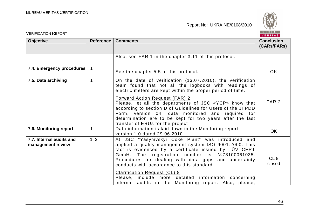

| <b>VERIFICATION REPORT</b>                    |              |                                                                                                                                                                                                                                                                                                                                                                                                                                                                                           | BUREAU<br><b>VERITAS</b>         |
|-----------------------------------------------|--------------|-------------------------------------------------------------------------------------------------------------------------------------------------------------------------------------------------------------------------------------------------------------------------------------------------------------------------------------------------------------------------------------------------------------------------------------------------------------------------------------------|----------------------------------|
| <b>Objective</b>                              | Reference    | <b>Comments</b>                                                                                                                                                                                                                                                                                                                                                                                                                                                                           | <b>Conclusion</b><br>(CARS/FARS) |
|                                               |              | Also, see FAR 1 in the chapter 3.11 of this protocol.                                                                                                                                                                                                                                                                                                                                                                                                                                     |                                  |
| 7.4. Emergency procedures                     |              | See the chapter 5.5 of this protocol.                                                                                                                                                                                                                                                                                                                                                                                                                                                     | OK.                              |
| 7.5. Data archiving                           | 1            | On the date of verification (13.07.2010), the verification<br>team found that not all the logbooks with readings of<br>electric meters are kept within the proper period of time.                                                                                                                                                                                                                                                                                                         |                                  |
|                                               |              | Forward Action Request (FAR) 2<br>Please, let all the departments of JSC «YCP» know that<br>according to section D of Guidelines for Users of the JI PDD<br>Form, version 04, data monitored and required for<br>determination are to be kept for two years after the last<br>transfer of ERUs for the project                                                                                                                                                                            | FAR <sub>2</sub>                 |
| 7.6. Monitoring report                        | $\mathbf{1}$ | Data information is laid down in the Monitoring report<br>version 1.0 dated 29.06.2010.                                                                                                                                                                                                                                                                                                                                                                                                   | <b>OK</b>                        |
| 7.7. Internal audits and<br>management review | 1, 2         | At JSC "Yasynivskyi Coke Plant" was introduced and<br>applied a quality management system ISO 9001:2000. This<br>fact is evidenced by a certificate issued by TÜV CERT<br>GmbH. The registration number is №78100061035.<br>Procedures for dealing with data gaps and uncertainty<br>conducts with accordance to this standard.<br><b>Clarification Request (CL) 8</b><br>Please, include more detailed information concerning<br>internal audits in the Monitoring report. Also, please, | CL <sub>8</sub><br>closed        |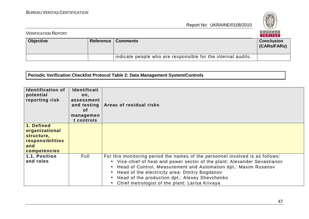

| <b>VERIFICATION REPORT</b> |  |                                                              | BUREAU<br>VERITAS                |
|----------------------------|--|--------------------------------------------------------------|----------------------------------|
| <b>Objective</b>           |  | <b>Reference   Comments</b>                                  | <b>Conclusion</b><br>(CARs/FARs) |
|                            |  | indicate people who are responsible for the internal audits. |                                  |

**Periodic Verification Checklist Protocol Table 2: Data Management System/Controls** 

| <b>Identification of</b><br>potential<br>reporting risk                               | Identificati<br>on,<br>assessment<br>and testing<br><b>of</b><br>managemen<br>t controls | Areas of residual risks                                                                                                                                                                                                                                                                                                                                                                                                                |
|---------------------------------------------------------------------------------------|------------------------------------------------------------------------------------------|----------------------------------------------------------------------------------------------------------------------------------------------------------------------------------------------------------------------------------------------------------------------------------------------------------------------------------------------------------------------------------------------------------------------------------------|
| 1. Defined<br>organizational<br>structure,<br>responsibilities<br>and<br>competencies |                                                                                          |                                                                                                                                                                                                                                                                                                                                                                                                                                        |
| 1.1. Position<br>and roles                                                            | Full                                                                                     | For this monitoring period the names of the personnel involved is as follows:<br>• Vice-chief of heat and power sector of the plant: Alexander Sevastianov<br>Head of Control, Measurement and Automation dpt.: Maxim Rusanov<br>$\bullet$<br>Head of the electricity area: Dmitry Bogdanov<br>$\bullet$<br>Head of the production dpt.: Alexey Shevchenko<br>$\bullet$<br>Chief metrologist of the plant: Larisa Krivaya<br>$\bullet$ |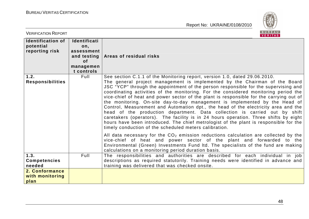

| <b>VERIFICATION REPORT</b>                              |                                                                                                 | <b>BUREAU</b><br>VERITAS                                                                                                                                                                                                                                                                                                                                                                                                                                                                                                                                                                                                                                                                                                                                                                                                                                                                                                                                                                                                                                                                                                                                                                |
|---------------------------------------------------------|-------------------------------------------------------------------------------------------------|-----------------------------------------------------------------------------------------------------------------------------------------------------------------------------------------------------------------------------------------------------------------------------------------------------------------------------------------------------------------------------------------------------------------------------------------------------------------------------------------------------------------------------------------------------------------------------------------------------------------------------------------------------------------------------------------------------------------------------------------------------------------------------------------------------------------------------------------------------------------------------------------------------------------------------------------------------------------------------------------------------------------------------------------------------------------------------------------------------------------------------------------------------------------------------------------|
| <b>Identification of</b><br>potential<br>reporting risk | <b>Identificati</b><br>on,<br>assessment<br>and testing<br><b>of</b><br>managemen<br>t controls | Areas of residual risks                                                                                                                                                                                                                                                                                                                                                                                                                                                                                                                                                                                                                                                                                                                                                                                                                                                                                                                                                                                                                                                                                                                                                                 |
| 1.2.<br><b>Responsibilities</b>                         | Full                                                                                            | See section C.1.1 of the Monitoring report, version 1.0, dated 29.06.2010.<br>The general project management is implemented by the Chairman of the Board<br>JSC "YCP" through the appointment of the person responsible for the supervising and<br>coordinating activities of the monitoring. For the considered monitoring period the<br>vice-chief of heat and power sector of the plant is responsible for the carrying out of<br>the monitoring. On-site day-to-day management is implemented by the Head of<br>Control, Measurement and Automation dpt., the head of the electricity area and the<br>head of the production department. Data collection is carried out by shift<br>caretakers (operators). The facility is in 24 hours operation. Three shifts by eight<br>hours have been introduced. The chief metrologist of the plant is responsible for the<br>timely conduction of the scheduled meters calibration.<br>All data necessary for the $CO2$ emission reductions calculation are collected by the<br>vice-chief of heat and power sector of the plant and forwarded to the<br>Environmental (Green) Investments Fund Itd. The specialists of the fund are making |
| 1.3.<br><b>Competencies</b><br>needed                   | Full                                                                                            | calculations on a monitoring period duration basis.<br>The responsibilities and authorities are described for each individual in job<br>descriptions as required statutorily. Training needs were identified in advance and<br>training was delivered that was checked onsite.                                                                                                                                                                                                                                                                                                                                                                                                                                                                                                                                                                                                                                                                                                                                                                                                                                                                                                          |
| 2. Conformance<br>with monitoring<br>plan               |                                                                                                 |                                                                                                                                                                                                                                                                                                                                                                                                                                                                                                                                                                                                                                                                                                                                                                                                                                                                                                                                                                                                                                                                                                                                                                                         |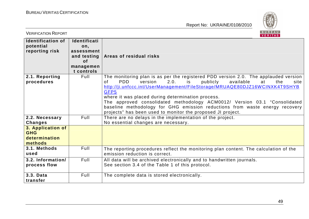

| <b>VERIFICATION REPORT</b>                                  |                                                                                   | <b>BUREAU</b><br><b>VERITAS</b>                                                                                                                                                                                                                                                                                                                                                                                                                                                                                                                                 |
|-------------------------------------------------------------|-----------------------------------------------------------------------------------|-----------------------------------------------------------------------------------------------------------------------------------------------------------------------------------------------------------------------------------------------------------------------------------------------------------------------------------------------------------------------------------------------------------------------------------------------------------------------------------------------------------------------------------------------------------------|
| <b>Identification of</b><br>potential<br>reporting risk     | Identificati<br>on,<br>assessment<br>and testing<br>of<br>managemen<br>t controls | Areas of residual risks                                                                                                                                                                                                                                                                                                                                                                                                                                                                                                                                         |
| 2.1. Reporting<br>procedures                                | Full                                                                              | The monitoring plan is as per the registered PDD version 2.0. The applauded version<br><b>PDD</b><br>2.0.<br>publicly<br>available<br><sub>of</sub><br>version<br>is<br>at<br>the<br>site<br>http://ji.unfccc.int/UserManagement/FileStorage/MRUAQE80DJZ16WCINXK4T9SHYB<br>GFP5<br>where it was placed during determination process.<br>The approved consolidated methodology ACM0012/ Version 03.1 "Consolidated<br>baseline methodology for GHG emission reductions from waste energy recovery<br>projects" has been used to monitor the proposed JI project. |
| 2.2. Necessary<br><b>Changes</b>                            | Full                                                                              | There are no delays in the implementation of the project.<br>No essential changes are necessary.                                                                                                                                                                                                                                                                                                                                                                                                                                                                |
| 3. Application of<br><b>GHG</b><br>determination<br>methods |                                                                                   |                                                                                                                                                                                                                                                                                                                                                                                                                                                                                                                                                                 |
| 3.1. Methods<br>used                                        | Full                                                                              | The reporting procedures reflect the monitoring plan content. The calculation of the<br>emission reduction is correct.                                                                                                                                                                                                                                                                                                                                                                                                                                          |
| 3.2. Information/<br>process flow                           | Full                                                                              | All data will be archived electronically and to handwritten journals.<br>See section 3.4 of the Table 1 of this protocol.                                                                                                                                                                                                                                                                                                                                                                                                                                       |
| 3.3. Data<br>transfer                                       | Full                                                                              | The complete data is stored electronically.                                                                                                                                                                                                                                                                                                                                                                                                                                                                                                                     |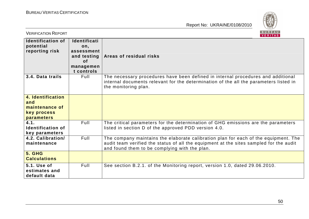

| <b>VERIFICATION REPORT</b>                                                     |                                                                                   | B U R E A U  <br>VERITAS                                                                                                                                                                                                       |
|--------------------------------------------------------------------------------|-----------------------------------------------------------------------------------|--------------------------------------------------------------------------------------------------------------------------------------------------------------------------------------------------------------------------------|
| <b>Identification of</b><br>potential<br>reporting risk                        | Identificati<br>on,<br>assessment<br>and testing<br>0f<br>managemen<br>t controls | Areas of residual risks                                                                                                                                                                                                        |
| 3.4. Data trails                                                               | Full                                                                              | The necessary procedures have been defined in internal procedures and additional<br>internal documents relevant for the determination of the all the parameters listed in<br>the monitoring plan.                              |
| 4. Identification<br>and<br>maintenance of<br>key process<br><b>parameters</b> |                                                                                   |                                                                                                                                                                                                                                |
| 4.1.<br><b>Identification of</b><br>key parameters                             | Full                                                                              | The critical parameters for the determination of GHG emissions are the parameters<br>listed in section D of the approved PDD version 4.0.                                                                                      |
| 4.2. Calibration/<br>maintenance                                               | Full                                                                              | The company maintains the elaborate calibration plan for each of the equipment. The<br>audit team verified the status of all the equipment at the sites sampled for the audit<br>and found them to be complying with the plan. |
| <b>5. GHG</b><br><b>Calculations</b>                                           |                                                                                   |                                                                                                                                                                                                                                |
| 5.1. Use of<br>estimates and<br>default data                                   | Full                                                                              | See section B.2.1. of the Monitoring report, version 1.0, dated 29.06.2010.                                                                                                                                                    |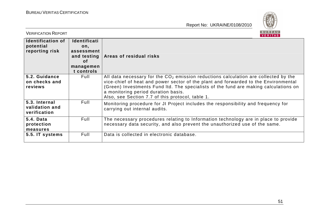

| <b>VERIFICATION REPORT</b>                              |                                                                                                 | B U K E A U<br>VERITAS                                                                                                                                                                                                                                                                                                                                          |
|---------------------------------------------------------|-------------------------------------------------------------------------------------------------|-----------------------------------------------------------------------------------------------------------------------------------------------------------------------------------------------------------------------------------------------------------------------------------------------------------------------------------------------------------------|
| <b>Identification of</b><br>potential<br>reporting risk | <b>Identificati</b><br>on,<br>assessment<br>and testing<br><b>of</b><br>managemen<br>t controls | Areas of residual risks                                                                                                                                                                                                                                                                                                                                         |
| 5.2. Guidance<br>on checks and<br>reviews               | Full                                                                                            | All data necessary for the $CO2$ emission reductions calculation are collected by the<br>vice-chief of heat and power sector of the plant and forwarded to the Environmental<br>(Green) Investments Fund Itd. The specialists of the fund are making calculations on<br>a monitoring period duration basis.<br>Also, see Section 7.7 of this protocol, table 1. |
| 5.3. Internal<br>validation and<br>verification         | Full                                                                                            | Monitoring procedure for JI Project includes the responsibility and frequency for<br>carrying out internal audits.                                                                                                                                                                                                                                              |
| 5.4. Data<br>protection<br>measures                     | Full                                                                                            | The necessary procedures relating to Information technology are in place to provide<br>necessary data security, and also prevent the unauthorized use of the same.                                                                                                                                                                                              |
| 5.5. IT systems                                         | Full                                                                                            | Data is collected in electronic database.                                                                                                                                                                                                                                                                                                                       |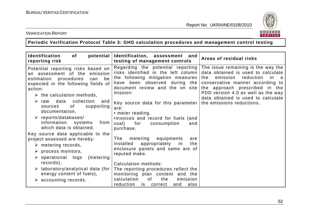

#### VERIFICATION REPORT

**Periodic Verification Protocol Table 3: GHG calculation procedures and management control testing** 

| Identification<br>potential<br>of<br>reporting risk                                                                                                                                                                                                                                                                                                                                                                   | Identification, assessment and<br>testing of management controls                                                                                                                                                                                                                                                                                          | Areas of residual risks                                                                                                                                                                                                                                                                            |
|-----------------------------------------------------------------------------------------------------------------------------------------------------------------------------------------------------------------------------------------------------------------------------------------------------------------------------------------------------------------------------------------------------------------------|-----------------------------------------------------------------------------------------------------------------------------------------------------------------------------------------------------------------------------------------------------------------------------------------------------------------------------------------------------------|----------------------------------------------------------------------------------------------------------------------------------------------------------------------------------------------------------------------------------------------------------------------------------------------------|
| Potential reporting risks based on<br>an assessment of the<br>emission<br>estimation procedures<br>can<br>be<br>expected in the following fields of<br>action:<br>$\triangleright$ the calculation methods,<br>collection<br>data<br>$\triangleright$ raw<br>and<br>of<br>supporting<br>sources<br>documentation,<br>$\triangleright$ reports/databases/<br>information<br>systems<br>from<br>which data is obtained. | Regarding the potential reporting<br>risks identified in the left column<br>the following mitigation measures<br>have been observed during the<br>document review and the on site<br>mission:<br>Key source data for this parameter<br>are:<br>• meter reading.<br>.invoices and record for fuels (and<br>for<br>coal)<br>consumption<br>and<br>purchase. | The issue remaining is the way the<br>data obtained is used to calculate<br>emission<br>reduction<br>the<br>in<br>a<br>conservative manner according to<br>the approach prescribed in the<br>PDD version 4.0 as well as the way<br>data obtained is used to calculate<br>the emissions reductions. |
| Key source data applicable to the<br>project assessed are hereby:<br>$\triangleright$ metering records,<br>$\triangleright$ process monitors,<br>$\triangleright$ operational logs<br>(metering)<br>records),<br>laboratory/analytical data (for<br>energy content of fuels),<br>$\triangleright$ accounting records.                                                                                                 | metering<br>equipments<br>The<br>are<br>installed<br>appropriately<br>in<br>the<br>enclosure panels and same are of<br>reputed make.<br>Calculation methods:<br>The reporting procedures reflect the<br>monitoring plan content and the<br>calculation<br>0f<br>the<br>emission<br>reduction<br>and<br>also<br>is<br>correct                              |                                                                                                                                                                                                                                                                                                    |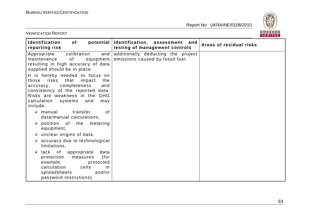

VERIFICATION REPORT

| <b>Identification</b><br>of<br>reporting risk                                                                                                                                                                                         | potential   Identification, assessment<br>and<br>testing of management controls | Areas of residual risks |
|---------------------------------------------------------------------------------------------------------------------------------------------------------------------------------------------------------------------------------------|---------------------------------------------------------------------------------|-------------------------|
| calibration<br>and<br>Appropriate<br>maintenance<br>of<br>equipment  <br>resulting in high accuracy of data<br>supplied should be in place.                                                                                           | additionally deducting the project<br>emissions caused by fossil fuel.          |                         |
| It is hereby needed to focus on<br>risks<br>that<br>impact<br>the<br>those<br>completeness<br>and<br>accuracy,<br>consistency of the reported data.<br>Risks are weakness in the GHG<br>calculation systems<br>and<br>may<br>include: |                                                                                 |                         |
| transfer<br>of<br>$\triangleright$ manual<br>data/manual calculations,                                                                                                                                                                |                                                                                 |                         |
| $\triangleright$ position of the metering<br>equipment,                                                                                                                                                                               |                                                                                 |                         |
| $\triangleright$ unclear origins of data,                                                                                                                                                                                             |                                                                                 |                         |
| $\triangleright$ accuracy due to technological<br>limitations,                                                                                                                                                                        |                                                                                 |                         |
| lack of appropriate<br>data<br>➤<br>(for<br>protection<br>measures<br>example,<br>protected<br>cells<br>calculation<br><i>in</i><br>and/or<br>spreadsheets<br>password restrictions).                                                 |                                                                                 |                         |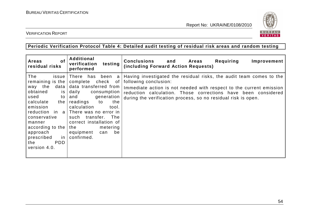

VERIFICATION REPORT

#### **Periodic Verification Protocol Table 4: Detailed audit testing of residual risk areas and random testing**

| <b>of</b><br><b>Areas</b><br>residual risks                                                                                                                                                                                                         | Additional<br>verification<br>testing<br>performed                                                                                                                                                                                                                                                                               | <b>Conclusions</b><br>Requiring<br>and Areas<br>Improvement<br>(including Forward Action Requests)                                                                                                                                                                                                    |
|-----------------------------------------------------------------------------------------------------------------------------------------------------------------------------------------------------------------------------------------------------|----------------------------------------------------------------------------------------------------------------------------------------------------------------------------------------------------------------------------------------------------------------------------------------------------------------------------------|-------------------------------------------------------------------------------------------------------------------------------------------------------------------------------------------------------------------------------------------------------------------------------------------------------|
| The<br>issue<br>remaining is the<br>way the<br>data  <br>obtained<br>is<br>used<br>$\mathsf{to}$<br>calculate<br>the<br>emission<br>conservative<br>manner<br>according to the $ $<br>approach<br>prescribed<br>in l<br>PDD.<br>the<br>version 4.0. | There<br>has been<br>a<br>complete<br>check of<br>data transferred from<br>daily<br>consumption<br>generation<br>and<br>the<br>readings<br>to<br>calculation<br>tool.<br>reduction in $a \mid$ There was no error in<br>such transfer. The<br>correct installation of<br>metering<br>the<br>equipment<br>be<br>can<br>confirmed. | Having investigated the residual risks, the audit team comes to the<br>following conclusion:<br>Immediate action is not needed with respect to the current emission<br>reduction calculation. Those corrections have been considered<br>during the verification process, so no residual risk is open. |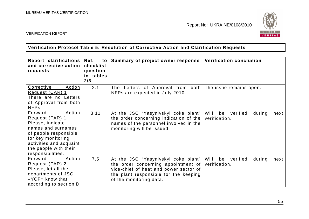

#### VERIFICATION REPORT

#### **Verification Protocol Table 5: Resolution of Corrective Action and Clarification Requests**

| Report clarifications<br>and corrective action<br>requests                                                                                                                                             | Ref.<br>to<br>checklist<br>question<br>in tables<br>2/3 | Summary of project owner response                                                                                                                                                        | <b>Verification conclusion</b>                            |
|--------------------------------------------------------------------------------------------------------------------------------------------------------------------------------------------------------|---------------------------------------------------------|------------------------------------------------------------------------------------------------------------------------------------------------------------------------------------------|-----------------------------------------------------------|
| Corrective<br>Action<br>Request (CAR) 1<br>There are no Letters<br>of Approval from both<br>NFPs.                                                                                                      | 2.1                                                     | The Letters of Approval from both The issue remains open.<br>NFPs are expected in July 2010.                                                                                             |                                                           |
| Action<br>Forward<br>Request (FAR) 1<br>Please, indicate<br>names and surnames<br>of people responsible<br>for key monitoring<br>activities and acquaint<br>the people with their<br>responsibilities. | 3.11                                                    | At the JSC "Yasynivskyi coke plant"<br>the order concerning indication of the<br>names of the personnel involved in the<br>monitoring will be issued.                                    | Will<br>verified<br>be<br>during<br>next<br>verification. |
| Forward<br>Action<br>Request (FAR) 2<br>Please, let all the<br>departments of JSC<br>«YCP» know that<br>according to section D                                                                         | 7.5                                                     | At the JSC "Yasynivskyi coke plant"<br>the order concerning appointment of<br>vice-chief of heat and power sector of<br>the plant responsible for the keeping<br>of the monitoring data. | Will<br>verified<br>be<br>during<br>next<br>verification. |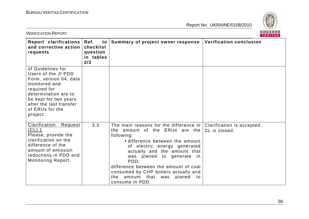

| <b>BUREAU</b><br><b>VERIFICATION REPORT</b><br><b>VERITAS</b>                                                                                                                                                  |                                                         |                                                                                                                                                                                                                                                                                                                                                                                  |                                             |  |
|----------------------------------------------------------------------------------------------------------------------------------------------------------------------------------------------------------------|---------------------------------------------------------|----------------------------------------------------------------------------------------------------------------------------------------------------------------------------------------------------------------------------------------------------------------------------------------------------------------------------------------------------------------------------------|---------------------------------------------|--|
| Report clarifications<br>and corrective action<br>requests                                                                                                                                                     | Ref.<br>to<br>checklist<br>question<br>in tables<br>2/3 | Summary of project owner response                                                                                                                                                                                                                                                                                                                                                | <b>Verification conclusion</b>              |  |
| of Guidelines for<br>Users of the JI PDD<br>Form, version 04, data<br>monitored and<br>required for<br>determination are to<br>be kept for two years<br>after the last transfer<br>of ERUs for the<br>project. |                                                         |                                                                                                                                                                                                                                                                                                                                                                                  |                                             |  |
| Clarification<br>Request<br>$CL)$ 1<br>Please, provide the<br>clarification on the<br>difference of the<br>amount of emission<br>reductions in PDD and<br><b>Monitoring Report.</b>                            | 3.3                                                     | The main reasons for the difference in $ $<br>the amount of the ERUs are the<br>following:<br>• difference between the amount<br>of electric energy generated<br>actually and the amount that<br>was planed to generate in<br>PDD;<br>difference between the amount of coal<br>consumed by CHP boilers actually and<br>amount that was<br>planed<br>the<br>to<br>consume in PDD. | Clarification is accepted.<br>CL is closed. |  |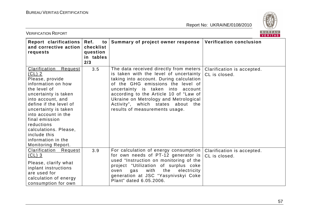

| BUREAU<br><b>VERIFICATION REPORT</b><br><b>VERITAS</b>                                                                                                                                                                                                                                                                                                 |                                                         |                                                                                                                                                                                                                                                                                                                                                                    |                                             |
|--------------------------------------------------------------------------------------------------------------------------------------------------------------------------------------------------------------------------------------------------------------------------------------------------------------------------------------------------------|---------------------------------------------------------|--------------------------------------------------------------------------------------------------------------------------------------------------------------------------------------------------------------------------------------------------------------------------------------------------------------------------------------------------------------------|---------------------------------------------|
| Report clarifications<br>and corrective action<br>requests                                                                                                                                                                                                                                                                                             | Ref.<br>to<br>checklist<br>question<br>in tables<br>2/3 | Summary of project owner response                                                                                                                                                                                                                                                                                                                                  | <b>Verification conclusion</b>              |
| <b>Clarification</b><br>Request<br>$(CL)$ 2<br>Please, provide<br>information on how<br>the level of<br>uncertainty is taken<br>into account, and<br>define if the level of<br>uncertainty is taken<br>into account in the<br>final emission<br>reductions<br>calculations. Please,<br>include this<br>information in the<br><b>Monitoring Report.</b> | 3.5                                                     | The data received directly from meters<br>is taken with the level of uncertainty<br>taking into account. During calculation<br>of the GHG emissions the level of<br>uncertainty is taken into<br>account<br>according to the Article 10 of "Law of<br>Ukraine on Metrology and Metrological<br>Activity", which states about the<br>results of measurements usage. | Clarification is accepted.<br>CL is closed. |
| Clarification Request<br>$CL)$ 3<br>Please, clarify what<br>inplant instructions<br>are used for<br>calculation of energy<br>consumption for own                                                                                                                                                                                                       | 3.9                                                     | For calculation of energy consumption<br>for own needs of PT-12 generator is<br>used "Instruction on monitoring of the<br>project "Utilization of surplus coke<br>with<br>the<br>electricity<br>oven<br>gas<br>generation at JSC "Yasynivskyi Coke<br>Plant" dated 6.05.2006.                                                                                      | Clarification is accepted.<br>CL is closed. |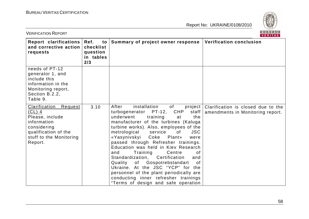

| BUREAU<br><b>VERIFICATION REPORT</b><br>VERITAS                                                                                                    |                                                         |                                                                                                                                                                                                                                                                                                                                                                                                                                                                                                                                                                                                                                                                 |                                                                        |  |
|----------------------------------------------------------------------------------------------------------------------------------------------------|---------------------------------------------------------|-----------------------------------------------------------------------------------------------------------------------------------------------------------------------------------------------------------------------------------------------------------------------------------------------------------------------------------------------------------------------------------------------------------------------------------------------------------------------------------------------------------------------------------------------------------------------------------------------------------------------------------------------------------------|------------------------------------------------------------------------|--|
| Report clarifications<br>and corrective action<br>requests                                                                                         | Ref.<br>to<br>checklist<br>question<br>in tables<br>2/3 | Summary of project owner response                                                                                                                                                                                                                                                                                                                                                                                                                                                                                                                                                                                                                               | <b>Verification conclusion</b>                                         |  |
| needs of PT-12<br>generator 1, and<br>include this<br>information in the<br>Monitoring report,<br>Section B.2.2,<br>Table 9.                       |                                                         |                                                                                                                                                                                                                                                                                                                                                                                                                                                                                                                                                                                                                                                                 |                                                                        |  |
| Clarification<br>Request<br>$CL)$ 4<br>Please, include<br>information<br>considering<br>qualification of the<br>stuff to the Monitoring<br>Report. | 3.10                                                    | After<br>installation<br>of<br>project<br>CHP<br>turbogenerator PT-12,<br>staff<br>underwent<br>training<br>the<br>at<br>manufacturer of the turbines (Kaluga<br>turbine works). Also, employees of the<br>metrological<br><b>JSC</b><br>service<br>of<br>«Yasynivskyi Coke<br>Plant»<br>were<br>passed through Refresher trainings.<br>Education was held in Kiev Research<br>Training<br>Centre<br>and<br>of<br>Standardization,<br>Certification<br>and<br>Quality of Gospotrebstandart<br>0f<br>Ukraine. At the JSC "YCP" for the<br>personnel of the plant periodically are<br>conducting inner refresher trainings<br>"Terms of design and safe operation | Clarification is closed due to the<br>amendments in Monitoring report. |  |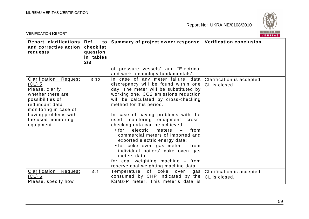

| <b>VERIFICATION REPORT</b>                                                                                                                                                                                  | BUREAU<br><b>VERITAS</b>                                |                                                                                                                                                                                                                                                                                                                                                                                                                                                                                                                                                                                                                                                                     |                                             |
|-------------------------------------------------------------------------------------------------------------------------------------------------------------------------------------------------------------|---------------------------------------------------------|---------------------------------------------------------------------------------------------------------------------------------------------------------------------------------------------------------------------------------------------------------------------------------------------------------------------------------------------------------------------------------------------------------------------------------------------------------------------------------------------------------------------------------------------------------------------------------------------------------------------------------------------------------------------|---------------------------------------------|
| Report clarifications<br>and corrective action<br>requests                                                                                                                                                  | Ref.<br>to<br>checklist<br>question<br>in tables<br>2/3 | Summary of project owner response                                                                                                                                                                                                                                                                                                                                                                                                                                                                                                                                                                                                                                   | Verification conclusion                     |
|                                                                                                                                                                                                             |                                                         | of pressure vessels" and "Electrical<br>and work technology fundamentals".                                                                                                                                                                                                                                                                                                                                                                                                                                                                                                                                                                                          |                                             |
| <b>Clarification Request</b><br>$CL)$ 5<br>Please, clarify<br>whether there are<br>possibilities of<br>redundant data<br>monitoring in case of<br>having problems with<br>the used monitoring<br>equipment. | 3.12                                                    | In case of any meter failure, data<br>discrepancy will be found within one<br>day. The meter will be substituted by<br>working one. CO2 emissions reduction<br>will be calculated by cross-checking<br>method for this period.<br>In case of having problems with the<br>used monitoring equipment cross-<br>checking data can be achieved:<br>$\bullet$ for<br>electric<br>meters<br>from<br>$\overline{\phantom{m}}$<br>commercial meters of imported and<br>exported electric energy data;<br>• for coke oven gas meter - from<br>individual boilers' coke oven gas<br>meters data;<br>for coal weighting machine - from<br>reserve coal weighting machine data. | Clarification is accepted.<br>CL is closed. |
| Clarification<br>Request<br>$CL)$ 6<br>Please, specify how                                                                                                                                                  | 4.1                                                     | Temperature of coke oven<br>gas  <br>consumed by CHP indicated by the<br>KSMz-P meter. This meter's data is                                                                                                                                                                                                                                                                                                                                                                                                                                                                                                                                                         | Clarification is accepted.<br>CL is closed. |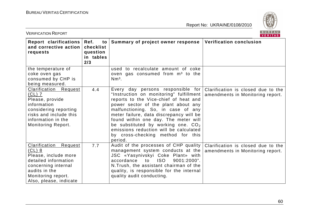

| <b>VERIFICATION REPORT</b>                                                                                                                                                         | BUREAU<br><b>VERITAS</b>                                |                                                                                                                                                                                                                                                                                                                                                                                                                                                              |                                                                        |
|------------------------------------------------------------------------------------------------------------------------------------------------------------------------------------|---------------------------------------------------------|--------------------------------------------------------------------------------------------------------------------------------------------------------------------------------------------------------------------------------------------------------------------------------------------------------------------------------------------------------------------------------------------------------------------------------------------------------------|------------------------------------------------------------------------|
| Report clarifications<br>and corrective action<br>requests                                                                                                                         | Ref.<br>to<br>checklist<br>question<br>in tables<br>2/3 | Summary of project owner response                                                                                                                                                                                                                                                                                                                                                                                                                            | <b>Verification conclusion</b>                                         |
| the temperature of<br>coke oven gas<br>consumed by CHP is<br>being measured.                                                                                                       |                                                         | used to recalculate amount of coke<br>oven gas consumed from m <sup>3</sup> to the<br>$Nm3$ .                                                                                                                                                                                                                                                                                                                                                                |                                                                        |
| <b>Clarification Request</b><br>$CL)$ 7<br>Please, provide<br>information<br>considering reporting<br>risks and include this<br>information in the<br><b>Monitoring Report.</b>    | 4.4                                                     | Every day persons responsible for Clarification is closed due to the<br>"Instruction on monitoring" fulfillment  <br>reports to the Vice-chief of heat and<br>power sector of the plant about any<br>malfunctioning. So, in case of any<br>meter failure, data discrepancy will be<br>found within one day. The meter will<br>be substituted by working one. $CO2$<br>emissions reduction will be calculated<br>by cross-checking method for this<br>period. | amendments in Monitoring report.                                       |
| <b>Clarification</b><br>Request<br>$CL)$ 8<br>Please, include more<br>detailed information<br>concerning internal<br>audits in the<br>Monitoring report.<br>Also, please, indicate | 7.7                                                     | Audit of the processes of CHP quality  <br>management system conducts at the<br>JSC «Yasynivskyi Coke Plant» with<br><b>ISO</b><br>9001:2000".<br>accordance<br>to<br>N. Trush, the assistant chairman of the<br>quality, is responsible for the internal<br>quality audit conducting.                                                                                                                                                                       | Clarification is closed due to the<br>amendments in Monitoring report. |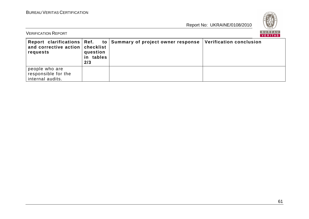

| <b>VERIFICATION REPORT</b>                                |                              |                                                                       |                         |  |
|-----------------------------------------------------------|------------------------------|-----------------------------------------------------------------------|-------------------------|--|
| and corrective action   checklist<br>requests             | question<br>in tables<br>2/3 | Report clarifications $ Ref.$ to $ Summary of project owner response$ | Verification conclusion |  |
| people who are<br>responsible for the<br>internal audits. |                              |                                                                       |                         |  |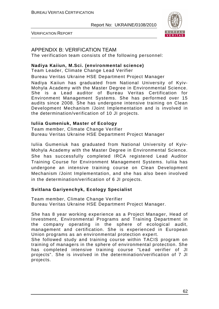

VERIFICATION REPORT

#### APPENDIX B: VERIFICATION TEAM

The verification team consists of the following personnel:

#### **Nadiya Kaiiun, M.Sci. (environmental science)**

Team Leader, Climate Change Lead Verifier

Bureau Veritas Ukraine HSE Department Project Manager

Nadiya Kaiiun has graduated from National University of Kyiv-Mohyla Academy with the Master Degree in Environmental Science. She is a Lead auditor of Bureau Veritas Certification for Environment Management Systems. She has performed over 15 audits since 2008. She has undergone intensive training on Clean Development Mechanism /Joint Implementation and is involved in the determination/verification of 10 JI projects.

#### **Iuliia Gumeniuk, Master of Ecology**

Team member, Climate Change Verifier Bureau Veritas Ukraine HSE Department Project Manager

Iuliia Gumeniuk has graduated from National University of Kyiv-Mohyla Academy with the Master Degree in Environmental Science. She has successfully completed IRCA registered Lead Auditor Training Course for Environment Management Systems. Iuliia has undergone an intensive training course on Clean Development Mechanism /Joint Implementation, and she has also been involved in the determination/verification of 6 JI projects.

#### **Svitlana Gariyenchyk, Ecology Specialist**

Team member, Climate Change Verifier Bureau Veritas Ukraine HSE Department Project Manager.

She has 8 year working experience as a Project Manager, Head of Investment, Environmental Programs and Training Department in the company operating in the sphere of ecological audit, management and certification. She is experienced in European Union programs as an environmental protection expert.

She followed study and training course within TACIS program on training of managers in the sphere of environmental protection. She has completed intensive training course "Lead verifier of JI projects". She is involved in the determination/verification of 7 JI projects.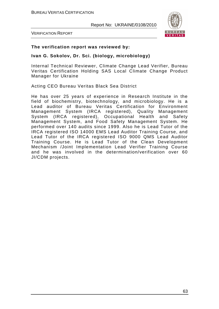

VERIFICATION REPORT

#### **The verification report was reviewed by:**

#### **Ivan G. Sokolov, Dr. Sci. (biology, microbiology)**

Internal Technical Reviewer, Climate Change Lead Verifier, Bureau Veritas Certification Holding SAS Local Climate Change Product Manager for Ukraine

Acting CEO Bureau Veritas Black Sea District

He has over 25 years of experience in Research Institute in the field of biochemistry, biotechnology, and microbiology. He is a Lead auditor of Bureau Veritas Certification for Environment Management System (IRCA registered), Quality Management System (IRCA registered), Occupational Health and Safety Management System, and Food Safety Management System. He performed over 140 audits since 1999. Also he is Lead Tutor of the IRCA registered ISO 14000 EMS Lead Auditor Training Course, and Lead Tutor of the IRCA registered ISO 9000 QMS Lead Auditor Training Course. He is Lead Tutor of the Clean Development Mechanism /Joint Implementation Lead Verifier Training Course and he was involved in the determination/verification over 60 JI/CDM projects.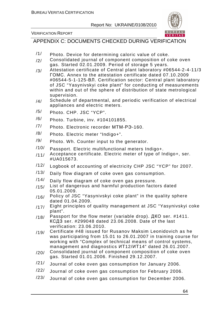#### VERIFICATION REPORT

APPENDIX C: DOCUMENTS CHECKED DURING VERIFICATION

- $/1/$  Photo. Device for determining caloric value of coke.
- /2/ Consolidated journal of component composition of coke oven gas. Started 02.01.2009. Period of storage 5 years.
- /3/ Attestation certificate of Central plant laboratory #06544-2-4-11/3 ГОМС. Annex to the attestation certificate dated 07.10.2009 #06544-5-1-125-ВЛ. Certification sector: Central plant laboratory of JSC "Yasynivskyi coke plant" for conducting of measurements within and out of the sphere of distribution of state metrological supervision.
- $/4/$  Schedule of departmental, and periodic verification of electrical appliances and electric meters.
- /5/ Photo. CHP. JSC "YCP".
- /6/ Photo. Turbine, inv. #104101855.
- /7/ Photo. Electronic recorder МТМ-РЭ-160.
- /8/ Photo. Electric meter "Indigo+".
- /9/ Photo. Wh. Counter input to the generator.
- /10/ Passport. Electric multifunctional meters Indigo+.
- $/11/$  Acceptance certificate. Electric meter of type of Indigo+, ser. #UA015673.
- /12/ Logbook of accounting of electricity CHP JSC "YCP" for 2007.
- /13/ Daily flow diagram of coke oven gas consumption.
- /14/ Daily flow diagram of coke oven gas pressure.
- /15/ List of dangerous and harmful production factors dated 05.01.2009.
- /16/ Policy of JSC "Yasynivskyi coke plant" in the quality sphere dated 01.04.2009.
- /17/ Eight principles of quality management at JSC "Yasynivskyi coke plant".
- /18/ Passport for the flow meter (variable drop). ДКО ser. #1411. КСДЗ ser. #299048 dated 23.06.2008. Date of the last verification: 23.06.2010.
- /19/ Certificate #48 issued for Rusanov Maksim Leonidovich as he was participating from 15.01 to 26.01.2007 in training course for working with "Complex of technical means of control systems, management and diagnostics ИТ12/ИТ14" dated 26.01.2007.
- /20/ Consolidated journal of component composition of coke oven gas. Started 01.01.2006. Finished 29.12.2007.
- /21/ Journal of coke oven gas consumption for January 2006.
- /22/ Journal of coke oven gas consumption for February 2006.
- /23/ Journal of coke oven gas consumption for December 2006.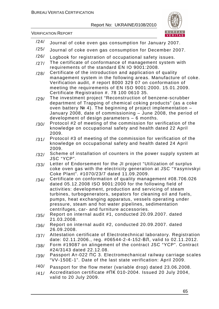

VERIFICATION REPORT

- $\frac{124}{100}$  Journal of coke oven gas consumption for January 2007.
- /25/ Journal of coke oven gas consumption for December 2007.
- /26/ Logbook for registration of occupational safety issues.
- /27/ The certificate of conformance of management system with requirements of the standard EN IO 9001:2008.
- /28/ Certificate of the introduction and application of quality management system in the following areas. Manufacture of coke. Verification audit, # report 8000 329 07 on conformation of meeting the requirements of EN ISO 9001:2000. 15.01.2009. Certificate Registration #. 78 100 0610 35.
- /29/ The investment project "Reconstruction of benzene-scrubber department of Trapping of chemical coking products" (as a coke oven battery № 4). The beginning of project implementation – January 2008, date of commissioning – June 2008, the period of development of design parameters – 6 months.
- $/30/$  Protocol #2 of meeting of the commission for verification of the knowledge on occupational safety and health dated 22 April 2009.
- $/31/$  Protocol #3 of meeting of the commission for verification of the knowledge on occupational safety and health dated 24 April 2009.
- /32/ Scheme of installation of counters in the power supply system at JSC "YCP".
- (33) Letter of Endorsement for the JI project "Utilization of surplus coke oven gas with the electricity generation at JSC "Yasynivskyi Coke Plant". #1070/23/7 dated 11.09.2009.
- /34/ Certificate on conformation of quality management #08.706.026 dated 05.12.2008 ISO 9001:2000 for the following field of activities: development, production and servicing of steam turbines, turbogenerators, sepators for cleaning oil and fuels, pumps, heat exchanging apparatus, vessels operating under pressure, steam and hot water pipelines, sedimentation centrifuges, car- and furniture accessories.
- /35/ Report on internal audit #1, conducted 20.09.2007. dated 21.03.2008.
- $/36/$  Report on internal audit #2, conducted 20.09.2007. dated 26.09.2008.
- /37/ Attestation certificate of Electrotechnical laboratory. Registration date: 02.11.2006., reg. #06544-2-4-152-ВЛ, valid to 02.11.2012.
- /38/ Form #19087 on alingement of the contract JSC "YCP". Contract #24/3143 dated 22.12.08.
- /39/ Passport Ат-022 ПС 3. Electromechanical railway carriage scales "VV-150E-1". Date of the last state verification: April 2009.
- /40/ Passport for the flow meter (variable drop) dated 23.06.2008.
- /41/ Accreditation certificate #ПК 010-2004. Issued 20 July 2004, valid to 20 July 2009.